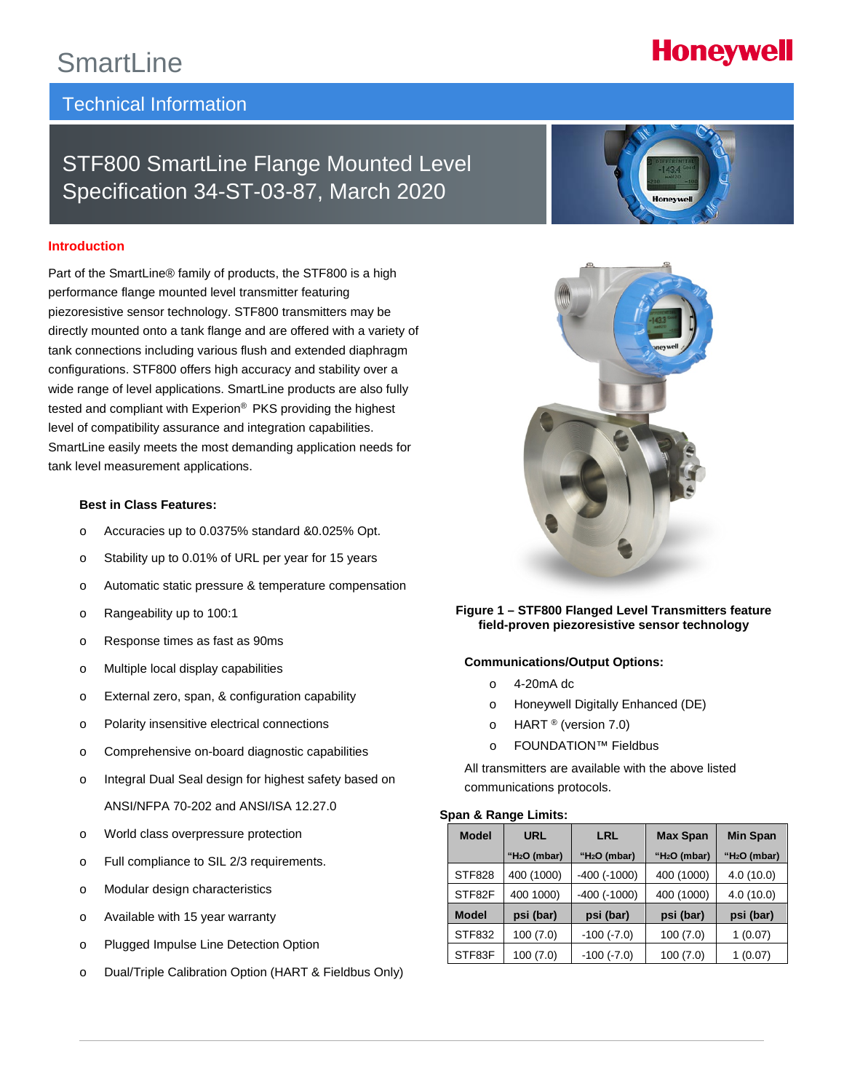## SmartLine

## Technical Information

## STF800 SmartLine Flange Mounted Level Specification 34-ST-03-87, March 2020

#### **Introduction**

Part of the SmartLine® family of products, the STF800 is a high performance flange mounted level transmitter featuring piezoresistive sensor technology. STF800 transmitters may be directly mounted onto a tank flange and are offered with a variety of tank connections including various flush and extended diaphragm configurations. STF800 offers high accuracy and stability over a wide range of level applications. SmartLine products are also fully tested and compliant with Experion® PKS providing the highest level of compatibility assurance and integration capabilities. SmartLine easily meets the most demanding application needs for tank level measurement applications.

#### **Best in Class Features:**

- o Accuracies up to 0.0375% standard &0.025% Opt.
- o Stability up to 0.01% of URL per year for 15 years
- o Automatic static pressure & temperature compensation
- o Rangeability up to 100:1
- o Response times as fast as 90ms
- o Multiple local display capabilities
- o External zero, span, & configuration capability
- o Polarity insensitive electrical connections
- o Comprehensive on-board diagnostic capabilities
- o Integral Dual Seal design for highest safety based on ANSI/NFPA 70-202 and ANSI/ISA 12.27.0
- o World class overpressure protection
- o Full compliance to SIL 2/3 requirements.
- o Modular design characteristics
- o Available with 15 year warranty
- o Plugged Impulse Line Detection Option
- o Dual/Triple Calibration Option (HART & Fieldbus Only)





**Figure 1 – STF800 Flanged Level Transmitters feature field-proven piezoresistive sensor technology**

#### **Communications/Output Options:**

- o 4-20mA dc
- o Honeywell Digitally Enhanced (DE)
- $\circ$  HART ® (version 7.0)
- o FOUNDATION™ Fieldbus

All transmitters are available with the above listed communications protocols.

#### **Span & Range Limits:**

| <b>Model</b>  | URL            | LRL                | <b>Max Span</b> | <b>Min Span</b> |
|---------------|----------------|--------------------|-----------------|-----------------|
|               | " $H2O$ (mbar) | " $H2O$ (mbar)     | " $H2O$ (mbar)  | " $H2O$ (mbar)  |
| <b>STF828</b> | 400 (1000)     | $-400$ ( $-1000$ ) | 400 (1000)      | 4.0(10.0)       |
| STF82F        | 400 1000)      | $-400$ ( $-1000$ ) | 400 (1000)      | 4.0(10.0)       |
| <b>Model</b>  | psi (bar)      | psi (bar)          | psi (bar)       | psi (bar)       |
| STF832        | 100(7.0)       | $-100$ ( $-7.0$ )  | 100(7.0)        | (0.07)          |
| STF83F        | 100(7.0)       | $-100$ $(-7.0)$    | 100(7.0)        | (0.07)          |

# **Honeywell**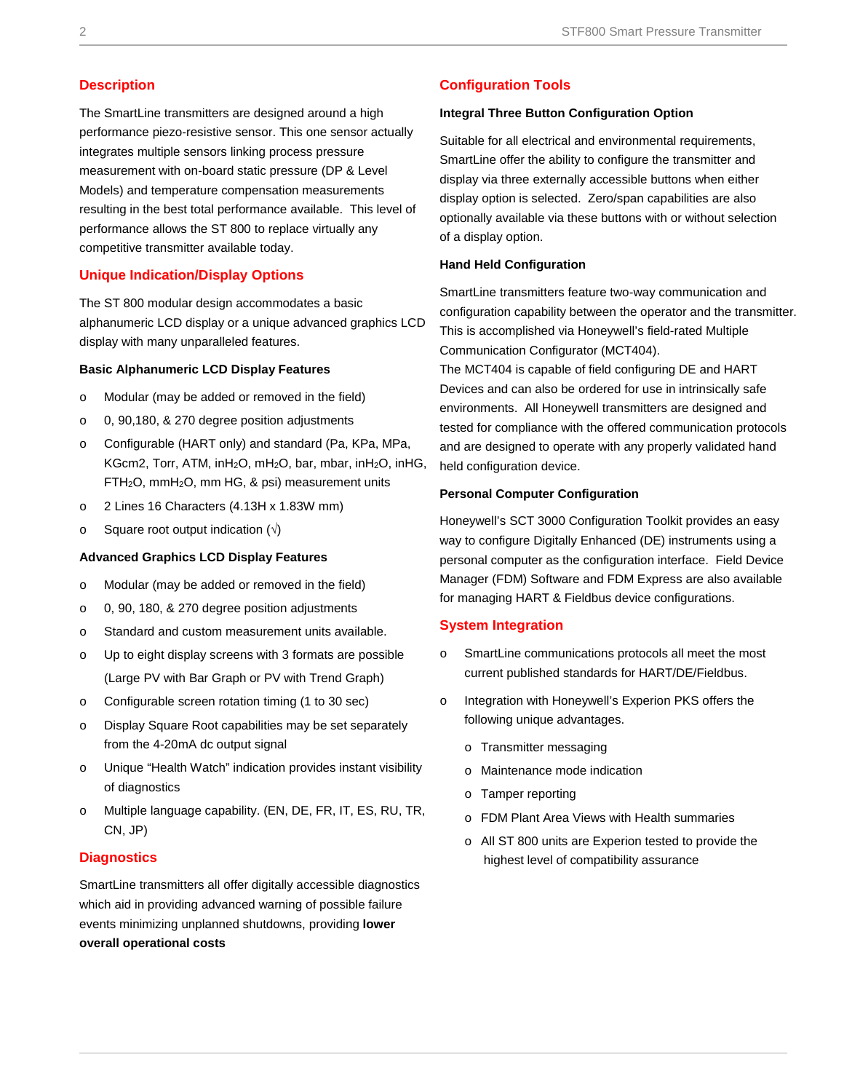#### **Description**

The SmartLine transmitters are designed around a high performance piezo-resistive sensor. This one sensor actually integrates multiple sensors linking process pressure measurement with on-board static pressure (DP & Level Models) and temperature compensation measurements resulting in the best total performance available. This level of performance allows the ST 800 to replace virtually any competitive transmitter available today.

#### **Unique Indication/Display Options**

The ST 800 modular design accommodates a basic alphanumeric LCD display or a unique advanced graphics LCD display with many unparalleled features.

#### **Basic Alphanumeric LCD Display Features**

- o Modular (may be added or removed in the field)
- o 0, 90,180, & 270 degree position adjustments
- o Configurable (HART only) and standard (Pa, KPa, MPa, KGcm2, Torr, ATM, inH<sub>2</sub>O, mH<sub>2</sub>O, bar, mbar, inH<sub>2</sub>O, inHG, FTH2O, mmH2O, mm HG, & psi) measurement units
- o 2 Lines 16 Characters (4.13H x 1.83W mm)
- o Square root output indication  $(\sqrt{)}$

#### **Advanced Graphics LCD Display Features**

- o Modular (may be added or removed in the field)
- o 0, 90, 180, & 270 degree position adjustments
- o Standard and custom measurement units available.
- o Up to eight display screens with 3 formats are possible (Large PV with Bar Graph or PV with Trend Graph)
- o Configurable screen rotation timing (1 to 30 sec)
- o Display Square Root capabilities may be set separately from the 4-20mA dc output signal
- o Unique "Health Watch" indication provides instant visibility of diagnostics
- o Multiple language capability. (EN, DE, FR, IT, ES, RU, TR, CN, JP)

#### **Diagnostics**

SmartLine transmitters all offer digitally accessible diagnostics which aid in providing advanced warning of possible failure events minimizing unplanned shutdowns, providing **lower overall operational costs**

#### **Configuration Tools**

#### **Integral Three Button Configuration Option**

Suitable for all electrical and environmental requirements, SmartLine offer the ability to configure the transmitter and display via three externally accessible buttons when either display option is selected. Zero/span capabilities are also optionally available via these buttons with or without selection of a display option.

#### **Hand Held Configuration**

SmartLine transmitters feature two-way communication and configuration capability between the operator and the transmitter. This is accomplished via Honeywell's field-rated Multiple Communication Configurator (MCT404).

The MCT404 is capable of field configuring DE and HART Devices and can also be ordered for use in intrinsically safe environments. All Honeywell transmitters are designed and tested for compliance with the offered communication protocols and are designed to operate with any properly validated hand held configuration device.

#### **Personal Computer Configuration**

Honeywell's SCT 3000 Configuration Toolkit provides an easy way to configure Digitally Enhanced (DE) instruments using a personal computer as the configuration interface. Field Device Manager (FDM) Software and FDM Express are also available for managing HART & Fieldbus device configurations.

#### **System Integration**

- o SmartLine communications protocols all meet the most current published standards for HART/DE/Fieldbus.
- o Integration with Honeywell's Experion PKS offers the following unique advantages.
	- o Transmitter messaging
	- o Maintenance mode indication
	- o Tamper reporting
	- o FDM Plant Area Views with Health summaries
	- o All ST 800 units are Experion tested to provide the highest level of compatibility assurance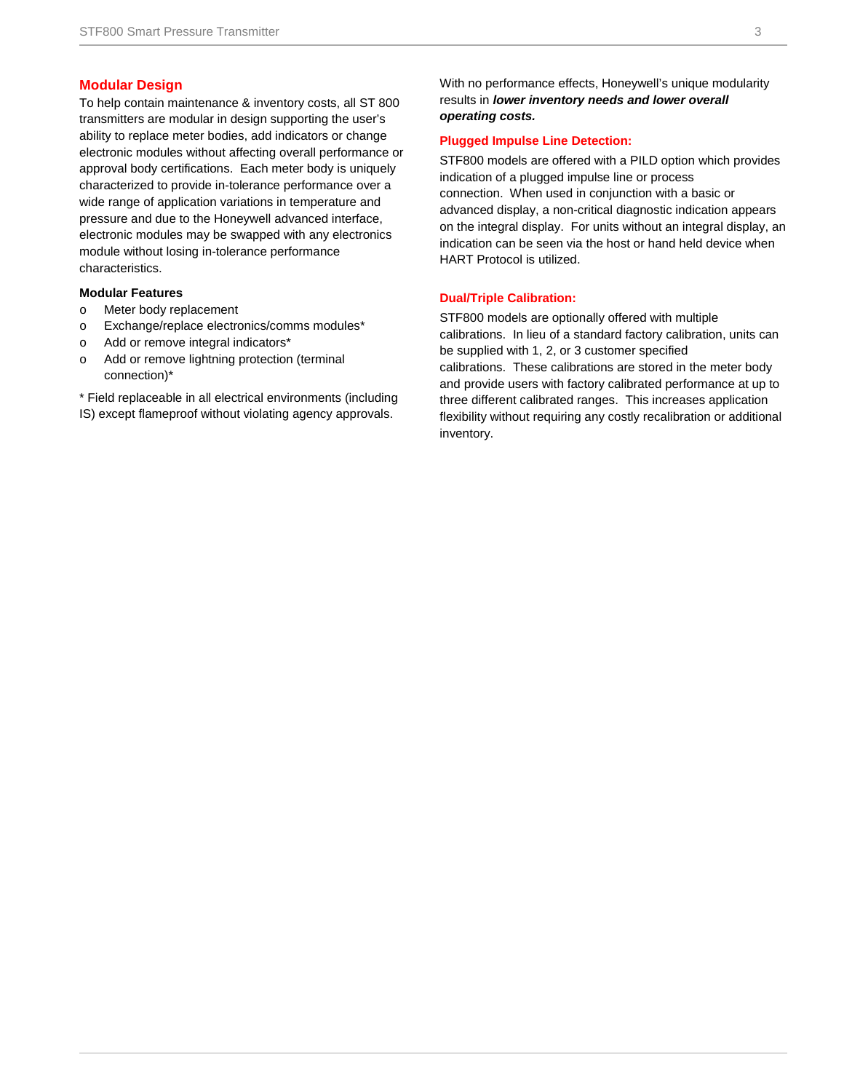#### **Modular Design**

To help contain maintenance & inventory costs, all ST 800 transmitters are modular in design supporting the user's ability to replace meter bodies, add indicators or change electronic modules without affecting overall performance or approval body certifications. Each meter body is uniquely characterized to provide in-tolerance performance over a wide range of application variations in temperature and pressure and due to the Honeywell advanced interface, electronic modules may be swapped with any electronics module without losing in-tolerance performance characteristics.

#### **Modular Features**

- o Meter body replacement
- o Exchange/replace electronics/comms modules\*
- o Add or remove integral indicators\*
- o Add or remove lightning protection (terminal connection)\*

\* Field replaceable in all electrical environments (including IS) except flameproof without violating agency approvals.

With no performance effects, Honeywell's unique modularity results in *lower inventory needs and lower overall operating costs.*

#### **Plugged Impulse Line Detection:**

STF800 models are offered with a PILD option which provides indication of a plugged impulse line or process connection. When used in conjunction with a basic or advanced display, a non-critical diagnostic indication appears on the integral display. For units without an integral display, an indication can be seen via the host or hand held device when HART Protocol is utilized.

#### **Dual/Triple Calibration:**

STF800 models are optionally offered with multiple calibrations. In lieu of a standard factory calibration, units can be supplied with 1, 2, or 3 customer specified calibrations. These calibrations are stored in the meter body and provide users with factory calibrated performance at up to three different calibrated ranges. This increases application flexibility without requiring any costly recalibration or additional inventory.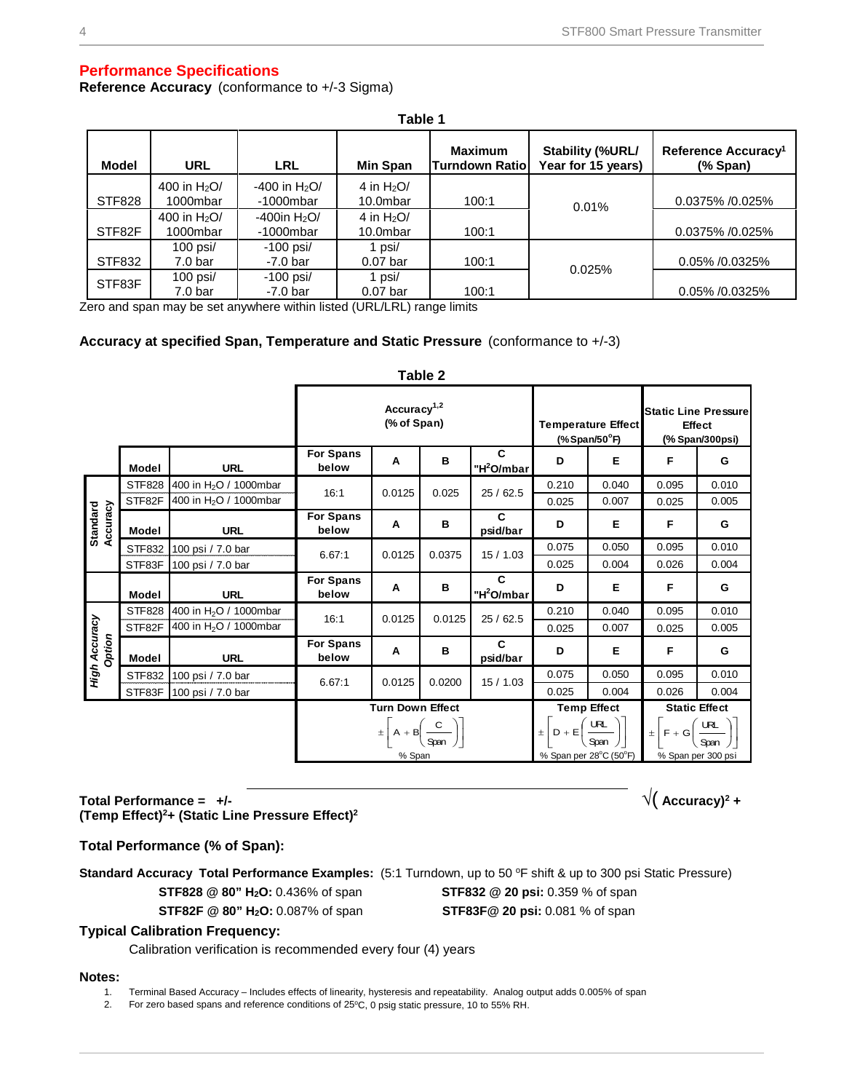#### **Performance Specifications**

**Reference Accuracy** (conformance to +/-3 Sigma)

|               | Table 1                           |                                             |                         |                                          |                                        |                                                                                 |  |  |
|---------------|-----------------------------------|---------------------------------------------|-------------------------|------------------------------------------|----------------------------------------|---------------------------------------------------------------------------------|--|--|
| <b>Model</b>  | <b>URL</b>                        | <b>LRL</b>                                  | Min Span                | <b>Maximum</b><br><b>Turndown Ratiol</b> | Stability (%URL/<br>Year for 15 years) | Reference Accuracy <sup>1</sup><br>$(% \mathbf{S}^{\prime}\mathbf{A})$ (% Span) |  |  |
| <b>STF828</b> | 400 in $H_2O/$<br>1000mbar        | $-400$ in H <sub>2</sub> O/<br>$-1000$ mbar | 4 in $H2O/$<br>10.0mbar | 100:1                                    | 0.01%                                  | 0.0375% /0.025%                                                                 |  |  |
| STF82F        | 400 in $H_2O/$<br>1000mbar        | -400in $H2O$<br>$-1000$ mbar                | 4 in $H2O/$<br>10.0mbar | 100:1                                    |                                        | 0.0375% /0.025%                                                                 |  |  |
| STF832        | 100 psi $/$<br>7.0 <sub>bar</sub> | $-100$ psi/<br>$-7.0$ bar                   | 1 psi/<br>$0.07$ bar    | 100:1                                    | 0.025%                                 | 0.05% /0.0325%                                                                  |  |  |
| STF83F        | $100$ psi $/$<br>7.0 bar          | $-100$ psi/<br>$-7.0$ bar                   | psi/<br>$0.07$ bar      | 100:1                                    |                                        | 0.05% /0.0325%                                                                  |  |  |

Zero and span may be set anywhere within listed (URL/LRL) range limits

#### **Accuracy at specified Span, Temperature and Static Pressure** (conformance to +/-3)

#### **Table 2**

|                             |               |                                    | Accuracy <sup>1,2</sup><br>(% of Span) |        |                                                                 | <b>Temperature Effect</b><br>$(*$ Span/50 $^{\circ}$ F) |                    | <b>Static Line Pressure</b><br>Effect<br>(% Span/300psi)                                                                                                          |                      |       |
|-----------------------------|---------------|------------------------------------|----------------------------------------|--------|-----------------------------------------------------------------|---------------------------------------------------------|--------------------|-------------------------------------------------------------------------------------------------------------------------------------------------------------------|----------------------|-------|
|                             | <b>Model</b>  | <b>URL</b>                         | <b>For Spans</b><br>below              | A      | в                                                               | C<br>"H <sup>2</sup> O/mbar                             | D                  | Е                                                                                                                                                                 | F                    | G     |
|                             | <b>STF828</b> | 400 in H <sub>2</sub> O / 1000mbar | 16:1                                   | 0.0125 | 0.025                                                           | 25/62.5                                                 | 0.210              | 0.040                                                                                                                                                             | 0.095                | 0.010 |
|                             | STF82F        | 400 in H <sub>2</sub> O / 1000mbar |                                        |        |                                                                 |                                                         | 0.025              | 0.007                                                                                                                                                             | 0.025                | 0.005 |
| <b>Standard</b><br>Accuracy | Model         | <b>URL</b>                         | <b>For Spans</b><br>below              | Α      | в                                                               | C<br>psid/bar                                           | D                  | Е                                                                                                                                                                 | F                    | G     |
|                             | STF832        | 100 psi / 7.0 bar                  | 6.67:1                                 | 0.0125 | 0.0375                                                          | 15/1.03                                                 | 0.075              | 0.050                                                                                                                                                             | 0.095                | 0.010 |
|                             | STF83F        | 100 psi / 7.0 bar                  |                                        |        |                                                                 |                                                         | 0.025              | 0.004                                                                                                                                                             | 0.026                | 0.004 |
|                             | Model         | <b>URL</b>                         | <b>For Spans</b><br>below              | Α      | в                                                               | C<br>"H <sup>2</sup> O/mbar                             | D                  | Е                                                                                                                                                                 | F                    | G     |
|                             | <b>STF828</b> | 400 in H <sub>2</sub> O / 1000mbar | 16:1                                   | 0.0125 | 0.0125                                                          | 25/62.5                                                 | 0.210              | 0.040                                                                                                                                                             | 0.095                | 0.010 |
|                             | STF82F        | 400 in H <sub>2</sub> O / 1000mbar |                                        |        |                                                                 |                                                         | 0.025              | 0.007                                                                                                                                                             | 0.025                | 0.005 |
| High Accuracy<br>Option     | <b>Model</b>  | <b>URL</b>                         | <b>For Spans</b><br>below              | Α      | в                                                               | C<br>psid/bar                                           | D                  | Е                                                                                                                                                                 | F                    | G     |
|                             | STF832        | 100 psi / 7.0 bar                  | 6.67:1                                 | 0.0125 | 0.0200                                                          | 15/1.03                                                 | 0.075              | 0.050                                                                                                                                                             | 0.095                | 0.010 |
|                             | STF83F        | 100 psi / 7.0 bar                  |                                        |        |                                                                 |                                                         | 0.025              | 0.004                                                                                                                                                             | 0.026                | 0.004 |
|                             |               |                                    | <b>Turn Down Effect</b>                |        |                                                                 |                                                         | <b>Temp Effect</b> |                                                                                                                                                                   | <b>Static Effect</b> |       |
|                             |               |                                    |                                        |        | $\pm \left[ A + B \left( \frac{C}{\text{Span}} \right) \right]$ |                                                         |                    | $\pm \left[D + \mathsf{E}\left(\frac{\mathsf{URL}}{\mathsf{Span}}\right)\right] = \pm \left[F + \mathsf{G}\left(\frac{\mathsf{URL}}{\mathsf{Span}}\right)\right]$ |                      |       |

#### Total Performance =  $+/-$ **(Temp Effect) 2 + (Static Line Pressure Effect) 2**

#### **Total Performance (% of Span):**

**Standard Accuracy Total Performance Examples:** (5:1 Turndown, up to 50 °F shift & up to 300 psi Static Pressure)

**STF828 @ 80" H2O:** 0.436% of span **STF832 @ 20 psi:** 0.359 % of span

**STF82F @ 80" H2O:** 0.087% of span **STF83F@ 20 psi:** 0.081 % of span

 $\sqrt{2}$  **Accuracy**)<sup>2</sup> +

#### **Typical Calibration Frequency:**

Calibration verification is recommended every four (4) years

#### **Notes:**

1. Terminal Based Accuracy – Includes effects of linearity, hysteresis and repeatability. Analog output adds 0.005% of span

2. For zero based spans and reference conditions of 25°C, 0 psig static pressure, 10 to 55% RH.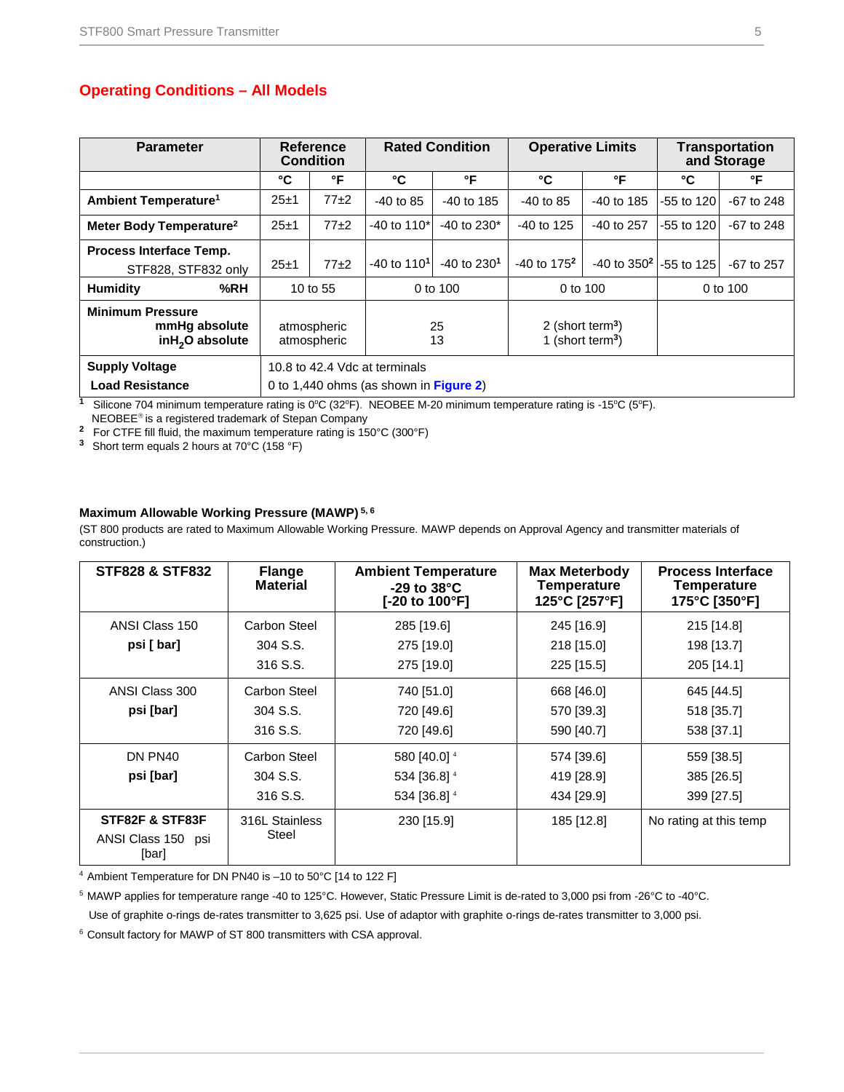### **Operating Conditions – All Models**

| <b>Parameter</b>                                                                                      | Reference<br><b>Condition</b> |                                        |                           | <b>Rated Condition</b>                                       |                 | <b>Operative Limits</b>                               |              | <b>Transportation</b><br>and Storage |  |
|-------------------------------------------------------------------------------------------------------|-------------------------------|----------------------------------------|---------------------------|--------------------------------------------------------------|-----------------|-------------------------------------------------------|--------------|--------------------------------------|--|
|                                                                                                       | °C                            | °F                                     | °C                        | °F                                                           | °C              | °F                                                    | °C           | °F                                   |  |
| Ambient Temperature <sup>1</sup>                                                                      | $25 + 1$                      | $77+2$                                 | $-40$ to 85               | $-40$ to 185                                                 | $-40$ to 85     | $-40$ to 185                                          | -55 to 120   | $-67$ to 248                         |  |
| Meter Body Temperature <sup>2</sup>                                                                   | $25 + 1$                      | $77+2$                                 | $-40$ to 110 <sup>*</sup> | $-40$ to 230 <sup>*</sup>                                    | $-40$ to 125    | $-40$ to 257                                          | $-55$ to 120 | $-67$ to $248$                       |  |
| <b>Process Interface Temp.</b><br>STF828, STF832 only                                                 | $25 + 1$                      | $77+2$                                 | $-40$ to 110 <sup>1</sup> | $-40$ to $2301$                                              | $-40$ to $1752$ | $-40$ to 350 <sup>2</sup> $\left  -55 \right $ to 125 |              | $-67$ to 257                         |  |
| %RH<br>Humidity                                                                                       |                               | 10 to 55                               |                           | 0 to $100$                                                   |                 | 0 to $100$                                            |              | 0 to 100                             |  |
| <b>Minimum Pressure</b><br>mmHq absolute<br>atmospheric<br>inH <sub>2</sub> O absolute<br>atmospheric |                               | 25<br>13                               |                           | 2 (short term <sup>3</sup> )<br>1 (short term <sup>3</sup> ) |                 |                                                       |              |                                      |  |
| <b>Supply Voltage</b>                                                                                 | 10.8 to 42.4 Vdc at terminals |                                        |                           |                                                              |                 |                                                       |              |                                      |  |
| <b>Load Resistance</b>                                                                                |                               | 0 to 1,440 ohms (as shown in Figure 2) |                           |                                                              |                 |                                                       |              |                                      |  |

<sup>1</sup> Silicone 704 minimum temperature rating is 0°C (32°F). NEOBEE M-20 minimum temperature rating is -15°C (5°F).

NEOBEE<sup>®</sup> is a registered trademark of Stepan Company

**<sup>2</sup>** For CTFE fill fluid, the maximum temperature rating is 150°C (300°F)

**<sup>3</sup>**Short term equals 2 hours at 70°C (158 °F)

#### **Maximum Allowable Working Pressure (MAWP) 5, 6**

(ST 800 products are rated to Maximum Allowable Working Pressure. MAWP depends on Approval Agency and transmitter materials of construction.)

| <b>STF828 &amp; STF832</b>                     | <b>Flange</b><br><b>Material</b> | <b>Ambient Temperature</b><br>$-29$ to $38^{\circ}$ C<br>[-20 to 100°F] | <b>Max Meterbody</b><br><b>Temperature</b><br>125°C [257°F] | <b>Process Interface</b><br><b>Temperature</b><br>175°C [350°F] |
|------------------------------------------------|----------------------------------|-------------------------------------------------------------------------|-------------------------------------------------------------|-----------------------------------------------------------------|
| ANSI Class 150                                 | Carbon Steel                     | 285 [19.6]                                                              | 245 [16.9]                                                  | 215 [14.8]                                                      |
| psi [ bar]                                     | 304 S.S.                         | 275 [19.0]                                                              | 218 [15.0]                                                  | 198 [13.7]                                                      |
|                                                | 316 S.S.                         | 275 [19.0]                                                              | 225 [15.5]                                                  | 205 [14.1]                                                      |
| ANSI Class 300                                 | Carbon Steel                     | 740 [51.0]                                                              | 668 [46.0]                                                  | 645 [44.5]                                                      |
| psi [bar]                                      | 304 S.S.                         | 720 [49.6]                                                              | 570 [39.3]                                                  | 518 [35.7]                                                      |
|                                                | 316 S.S.                         | 720 [49.6]                                                              | 590 [40.7]                                                  | 538 [37.1]                                                      |
| DN PN40                                        | Carbon Steel                     | 580 [40.0] 4                                                            | 574 [39.6]                                                  | 559 [38.5]                                                      |
| psi [bar]                                      | 304 S.S.                         | 534 [36.8] 4                                                            | 419 [28.9]                                                  | 385 [26.5]                                                      |
|                                                | 316 S.S.                         | 534 [36.8] 4                                                            | 434 [29.9]                                                  | 399 [27.5]                                                      |
| STF82F & STF83F<br>ANSI Class 150 psi<br>[bar] | 316L Stainless<br>Steel          | 230 [15.9]                                                              | 185 [12.8]                                                  | No rating at this temp                                          |

<sup>4</sup> Ambient Temperature for DN PN40 is –10 to 50°C [14 to 122 F]

5 MAWP applies for temperature range -40 to 125°C. However, Static Pressure Limit is de-rated to 3,000 psi from -26°C to -40°C.

Use of graphite o-rings de-rates transmitter to 3,625 psi. Use of adaptor with graphite o-rings de-rates transmitter to 3,000 psi.

<sup>6</sup> Consult factory for MAWP of ST 800 transmitters with CSA approval.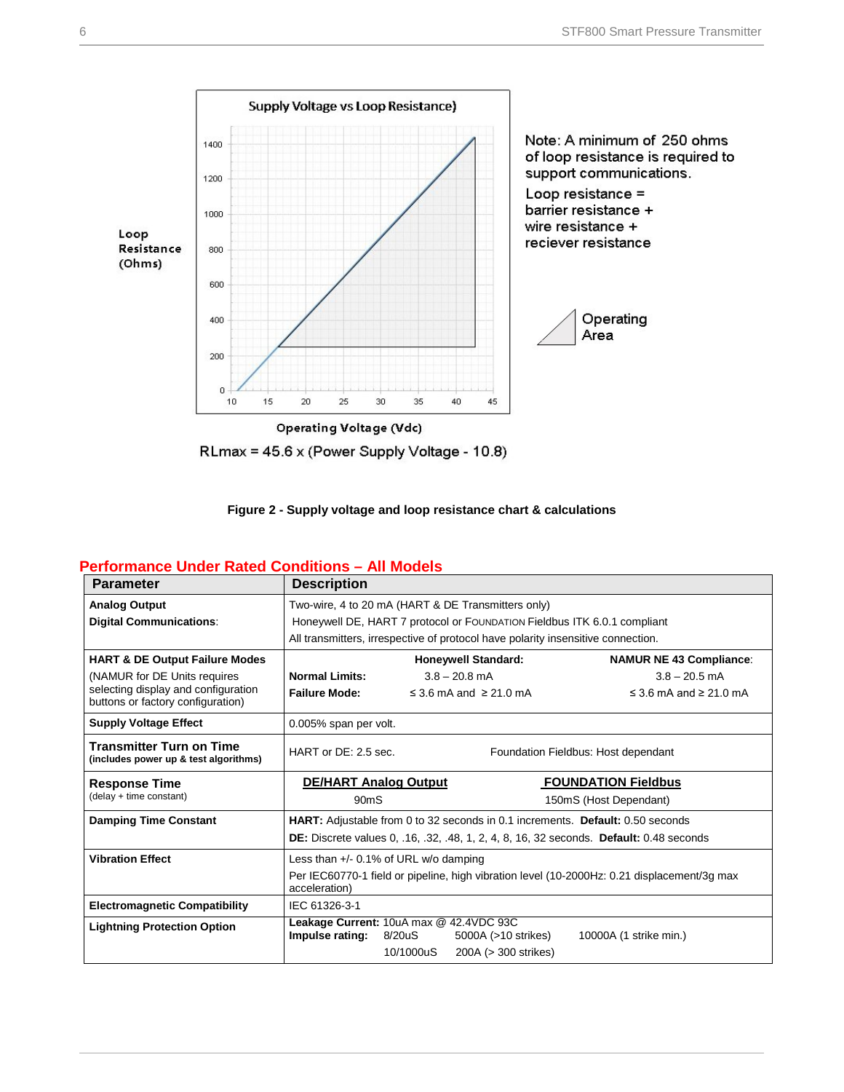





#### <span id="page-5-0"></span>**Performance Under Rated Conditions – All Models**

| <b>Parameter</b>                                                         | <b>Description</b>                                          |                                                                          |                                                                                  |                                                                                                       |  |  |
|--------------------------------------------------------------------------|-------------------------------------------------------------|--------------------------------------------------------------------------|----------------------------------------------------------------------------------|-------------------------------------------------------------------------------------------------------|--|--|
| <b>Analog Output</b>                                                     |                                                             | Two-wire, 4 to 20 mA (HART & DE Transmitters only)                       |                                                                                  |                                                                                                       |  |  |
| <b>Digital Communications:</b>                                           |                                                             | Honeywell DE, HART 7 protocol or FOUNDATION Fieldbus ITK 6.0.1 compliant |                                                                                  |                                                                                                       |  |  |
|                                                                          |                                                             |                                                                          | All transmitters, irrespective of protocol have polarity insensitive connection. |                                                                                                       |  |  |
| <b>HART &amp; DE Output Failure Modes</b>                                |                                                             |                                                                          | <b>Honeywell Standard:</b>                                                       | <b>NAMUR NE 43 Compliance:</b>                                                                        |  |  |
| (NAMUR for DE Units requires                                             | <b>Normal Limits:</b>                                       |                                                                          | $3.8 - 20.8$ mA                                                                  | $3.8 - 20.5$ mA                                                                                       |  |  |
| selecting display and configuration<br>buttons or factory configuration) | <b>Failure Mode:</b>                                        |                                                                          | ≤ 3.6 mA and $≥$ 21.0 mA                                                         | $\leq$ 3.6 mA and $\geq$ 21.0 mA                                                                      |  |  |
| <b>Supply Voltage Effect</b>                                             | 0.005% span per volt.                                       |                                                                          |                                                                                  |                                                                                                       |  |  |
| <b>Transmitter Turn on Time</b><br>(includes power up & test algorithms) | HART or DE: 2.5 sec.<br>Foundation Fieldbus: Host dependant |                                                                          |                                                                                  |                                                                                                       |  |  |
| <b>Response Time</b>                                                     | <b>DE/HART Analog Output</b>                                |                                                                          |                                                                                  | <b>FOUNDATION Fieldbus</b>                                                                            |  |  |
| (delay + time constant)                                                  | 90 <sub>m</sub> S                                           |                                                                          |                                                                                  | 150mS (Host Dependant)                                                                                |  |  |
| <b>Damping Time Constant</b>                                             |                                                             |                                                                          |                                                                                  | <b>HART:</b> Adjustable from 0 to 32 seconds in 0.1 increments. Default: 0.50 seconds                 |  |  |
|                                                                          |                                                             |                                                                          |                                                                                  | <b>DE:</b> Discrete values 0, .16, .32, .48, 1, 2, 4, 8, 16, 32 seconds. <b>Default:</b> 0.48 seconds |  |  |
| <b>Vibration Effect</b>                                                  | Less than $+/-$ 0.1% of URL w/o damping                     |                                                                          |                                                                                  |                                                                                                       |  |  |
|                                                                          | acceleration)                                               |                                                                          |                                                                                  | Per IEC60770-1 field or pipeline, high vibration level (10-2000Hz: 0.21 displacement/3g max           |  |  |
| <b>Electromagnetic Compatibility</b>                                     | IEC 61326-3-1                                               |                                                                          |                                                                                  |                                                                                                       |  |  |
| <b>Lightning Protection Option</b>                                       | Leakage Current: 10uA max @ 42.4VDC 93C<br>Impulse rating:  | 8/20uS<br>10/1000uS                                                      | 5000A (>10 strikes)<br>200A (> 300 strikes)                                      | 10000A (1 strike min.)                                                                                |  |  |
|                                                                          |                                                             |                                                                          |                                                                                  |                                                                                                       |  |  |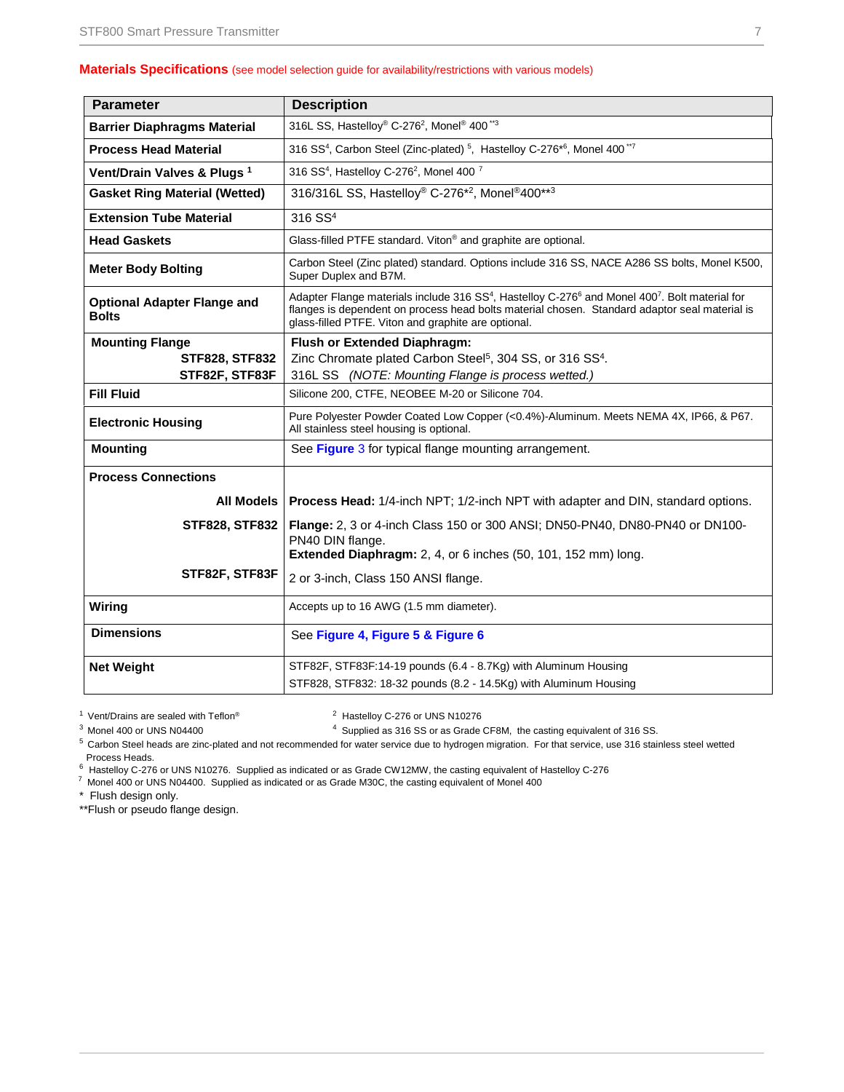#### **Materials Specifications** (see model selection guide for availability/restrictions with various models)

| <b>Parameter</b>                                   | <b>Description</b>                                                                                                                                                                                                                                                                         |
|----------------------------------------------------|--------------------------------------------------------------------------------------------------------------------------------------------------------------------------------------------------------------------------------------------------------------------------------------------|
| <b>Barrier Diaphragms Material</b>                 | 316L SS, Hastelloy <sup>®</sup> C-276 <sup>2</sup> , Monel <sup>®</sup> 400 <sup>**3</sup>                                                                                                                                                                                                 |
| <b>Process Head Material</b>                       | 316 SS <sup>4</sup> , Carbon Steel (Zinc-plated) <sup>5</sup> , Hastelloy C-276 <sup>*6</sup> , Monel 400 <sup>**7</sup>                                                                                                                                                                   |
| Vent/Drain Valves & Plugs <sup>1</sup>             | 316 SS <sup>4</sup> , Hastelloy C-276 <sup>2</sup> , Monel 400 <sup>7</sup>                                                                                                                                                                                                                |
| <b>Gasket Ring Material (Wetted)</b>               | 316/316L SS, Hastelloy® C-276 <sup>*2</sup> , Monel®400**3                                                                                                                                                                                                                                 |
| <b>Extension Tube Material</b>                     | 316 SS <sup>4</sup>                                                                                                                                                                                                                                                                        |
| <b>Head Gaskets</b>                                | Glass-filled PTFE standard. Viton® and graphite are optional.                                                                                                                                                                                                                              |
| <b>Meter Body Bolting</b>                          | Carbon Steel (Zinc plated) standard. Options include 316 SS, NACE A286 SS bolts, Monel K500,<br>Super Duplex and B7M.                                                                                                                                                                      |
| <b>Optional Adapter Flange and</b><br><b>Bolts</b> | Adapter Flange materials include 316 SS <sup>4</sup> , Hastelloy C-276 <sup>6</sup> and Monel 400 <sup>7</sup> . Bolt material for<br>flanges is dependent on process head bolts material chosen. Standard adaptor seal material is<br>glass-filled PTFE. Viton and graphite are optional. |
| <b>Mounting Flange</b>                             | <b>Flush or Extended Diaphragm:</b>                                                                                                                                                                                                                                                        |
| <b>STF828, STF832</b>                              | Zinc Chromate plated Carbon Steel <sup>5</sup> , 304 SS, or 316 SS <sup>4</sup> .                                                                                                                                                                                                          |
| STF82F, STF83F                                     | 316L SS (NOTE: Mounting Flange is process wetted.)                                                                                                                                                                                                                                         |
| <b>Fill Fluid</b>                                  | Silicone 200, CTFE, NEOBEE M-20 or Silicone 704.                                                                                                                                                                                                                                           |
| <b>Electronic Housing</b>                          | Pure Polyester Powder Coated Low Copper (<0.4%)-Aluminum. Meets NEMA 4X, IP66, & P67.<br>All stainless steel housing is optional.                                                                                                                                                          |
| <b>Mounting</b>                                    | See Figure 3 for typical flange mounting arrangement.                                                                                                                                                                                                                                      |
| <b>Process Connections</b>                         |                                                                                                                                                                                                                                                                                            |
| All Models                                         | <b>Process Head:</b> 1/4-inch NPT; 1/2-inch NPT with adapter and DIN, standard options.                                                                                                                                                                                                    |
| <b>STF828, STF832</b>                              | Flange: 2, 3 or 4-inch Class 150 or 300 ANSI; DN50-PN40, DN80-PN40 or DN100-<br>PN40 DIN flange.                                                                                                                                                                                           |
|                                                    | Extended Diaphragm: 2, 4, or 6 inches (50, 101, 152 mm) long.                                                                                                                                                                                                                              |
| STF82F, STF83F                                     | 2 or 3-inch, Class 150 ANSI flange.                                                                                                                                                                                                                                                        |
| Wiring                                             | Accepts up to 16 AWG (1.5 mm diameter).                                                                                                                                                                                                                                                    |
| <b>Dimensions</b>                                  | See Figure 4, Figure 5 & Figure 6                                                                                                                                                                                                                                                          |
| <b>Net Weight</b>                                  | STF82F, STF83F:14-19 pounds (6.4 - 8.7Kg) with Aluminum Housing                                                                                                                                                                                                                            |
|                                                    | STF828, STF832: 18-32 pounds (8.2 - 14.5Kg) with Aluminum Housing                                                                                                                                                                                                                          |

 $1$  Vent/Drains are sealed with Teflon®  $2$  Hastelloy C-276 or UNS N10276

 $3$  Monel 400 or UNS N04400

Supplied as 316 SS or as Grade CF8M, the casting equivalent of 316 SS.

<sup>5</sup> Carbon Steel heads are zinc-plated and not recommended for water service due to hydrogen migration. For that service, use 316 stainless steel wetted Process Heads.

Freedoct Hastelloy C-276 or UNS N10276. Supplied as indicated or as Grade CW12MW, the casting equivalent of Hastelloy C-276

Monel 400 or UNS N04400. Supplied as indicated or as Grade M30C, the casting equivalent of Monel 400

\* Flush design only.

\*\*Flush or pseudo flange design.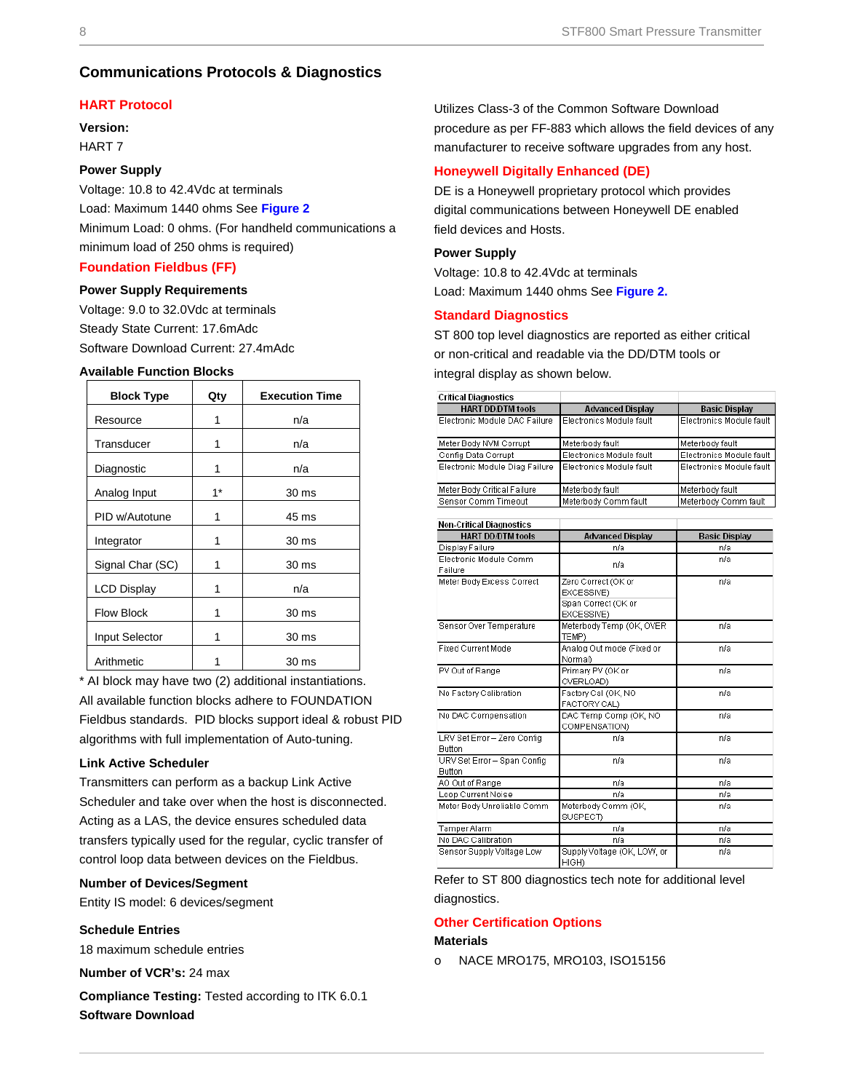### **Communications Protocols & Diagnostics**

#### **HART Protocol**

**Version:** HART 7

#### **Power Supply**

Voltage: 10.8 to 42.4Vdc at terminals Load: Maximum 1440 ohms See **[Figure 2](#page-5-0)** Minimum Load: 0 ohms. (For handheld communications a minimum load of 250 ohms is required)

#### **Foundation Fieldbus (FF)**

#### **Power Supply Requirements**

Voltage: 9.0 to 32.0Vdc at terminals Steady State Current: 17.6mAdc Software Download Current: 27.4mAdc

#### **Available Function Blocks**

| <b>Block Type</b>  | Qty  | <b>Execution Time</b> |
|--------------------|------|-----------------------|
| Resource           | 1    | n/a                   |
| Transducer         | 1    | n/a                   |
| Diagnostic         | 1    | n/a                   |
| Analog Input       | $1*$ | 30 <sub>ms</sub>      |
| PID w/Autotune     | 1    | 45 ms                 |
| Integrator         | 1    | 30 <sub>ms</sub>      |
| Signal Char (SC)   | 1    | 30 ms                 |
| <b>LCD Display</b> | 1    | n/a                   |
| <b>Flow Block</b>  | 1    | 30 <sub>ms</sub>      |
| Input Selector     | 1    | 30 ms                 |
| Arithmetic         |      | 30 ms                 |

\* AI block may have two (2) additional instantiations.

All available function blocks adhere to FOUNDATION Fieldbus standards. PID blocks support ideal & robust PID algorithms with full implementation of Auto-tuning.

#### **Link Active Scheduler**

Transmitters can perform as a backup Link Active Scheduler and take over when the host is disconnected. Acting as a LAS, the device ensures scheduled data transfers typically used for the regular, cyclic transfer of control loop data between devices on the Fieldbus.

#### **Number of Devices/Segment**

Entity IS model: 6 devices/segment

#### **Schedule Entries**

18 maximum schedule entries

**Number of VCR's:** 24 max

**Compliance Testing:** Tested according to ITK 6.0.1 **Software Download**

Utilizes Class-3 of the Common Software Download procedure as per FF-883 which allows the field devices of any manufacturer to receive software upgrades from any host.

#### **Honeywell Digitally Enhanced (DE)**

DE is a Honeywell proprietary protocol which provides digital communications between Honeywell DE enabled field devices and Hosts.

#### **Power Supply**

Voltage: 10.8 to 42.4Vdc at terminals Load: Maximum 1440 ohms See **[Figure 2.](#page-5-0)**

#### **Standard Diagnostics**

ST 800 top level diagnostics are reported as either critical or non-critical and readable via the DD/DTM tools or integral display as shown below.

| <b>Critical Diagnostics</b>    |                          |                          |
|--------------------------------|--------------------------|--------------------------|
| <b>HART DD/DTM tools</b>       | <b>Advanced Display</b>  | <b>Basic Display</b>     |
| Electronic Module DAC Failure  | Electronics Module fault | Electronics Module fault |
| Meter Body NVM Corrupt         | Meterbody fault          | Meterbody fault          |
| Config Data Corrupt            | Electronics Module fault | Electronics Module fault |
| Electronic Module Diag Failure | Electronics Module fault | Electronics Module fault |
| Meter Body Critical Failure    | Meterbody fault          | Meterbody fault          |
| Sensor Comm Timeout            | Meterbody Comm fault     | Meterbody Comm fault     |

| <b>Non-Critical Diagnostics</b>              |                                                                        |                      |  |  |  |  |
|----------------------------------------------|------------------------------------------------------------------------|----------------------|--|--|--|--|
| <b>HART DD/DTM tools</b>                     | <b>Advanced Display</b>                                                | <b>Basic Display</b> |  |  |  |  |
| Display Failure                              | n/a                                                                    | n/a                  |  |  |  |  |
| Electronic Module Comm<br>Failure            | n/a                                                                    | n/a                  |  |  |  |  |
| Meter Body Excess Correct                    | Zero Correct (OK or<br>EXCESSIVE)<br>Span Correct (OK or<br>EXCESSIVE) | n/a                  |  |  |  |  |
| Sensor Over Temperature                      | Meterbody Temp (OK, OVER<br>TEMP)                                      | n/a                  |  |  |  |  |
| Fixed Current Mode                           | Analog Out mode (Fixed or<br>Normal)                                   | n/a                  |  |  |  |  |
| PV Out of Range                              | Primary PV (OK or<br>OVERLOAD)                                         | n/a                  |  |  |  |  |
| No Factory Calibration                       | Factory Cal (OK, NO<br>FACTORY CAL)                                    | n/a                  |  |  |  |  |
| No DAC Compensation                          | DAC Temp Comp (OK, NO<br>COMPENSATION)                                 | n/a                  |  |  |  |  |
| LRV Set Error - Zero Config<br><b>Button</b> | n/a                                                                    | n/a                  |  |  |  |  |
| URV Set Error - Span Config<br>Button        | n/a                                                                    | n/a                  |  |  |  |  |
| AO Out of Range                              | n/a                                                                    | n/a                  |  |  |  |  |
| Loop Current Noise                           | n/a                                                                    | n/a                  |  |  |  |  |
| Meter Body Unreliable Comm                   | Meterbody Comm (OK,<br><b>SUSPECT)</b>                                 | n/a                  |  |  |  |  |
| Tamper Alarm                                 | n/a                                                                    | n/a                  |  |  |  |  |
| No DAC Calibration                           | n/a                                                                    | n/a                  |  |  |  |  |
| Sensor Supply Voltage Low                    | Supply Voltage (OK, LOW, or<br>HIGH)                                   | n/a                  |  |  |  |  |

Refer to ST 800 diagnostics tech note for additional level

diagnostics.

#### **Other Certification Options**

#### **Materials**

o NACE MRO175, MRO103, ISO15156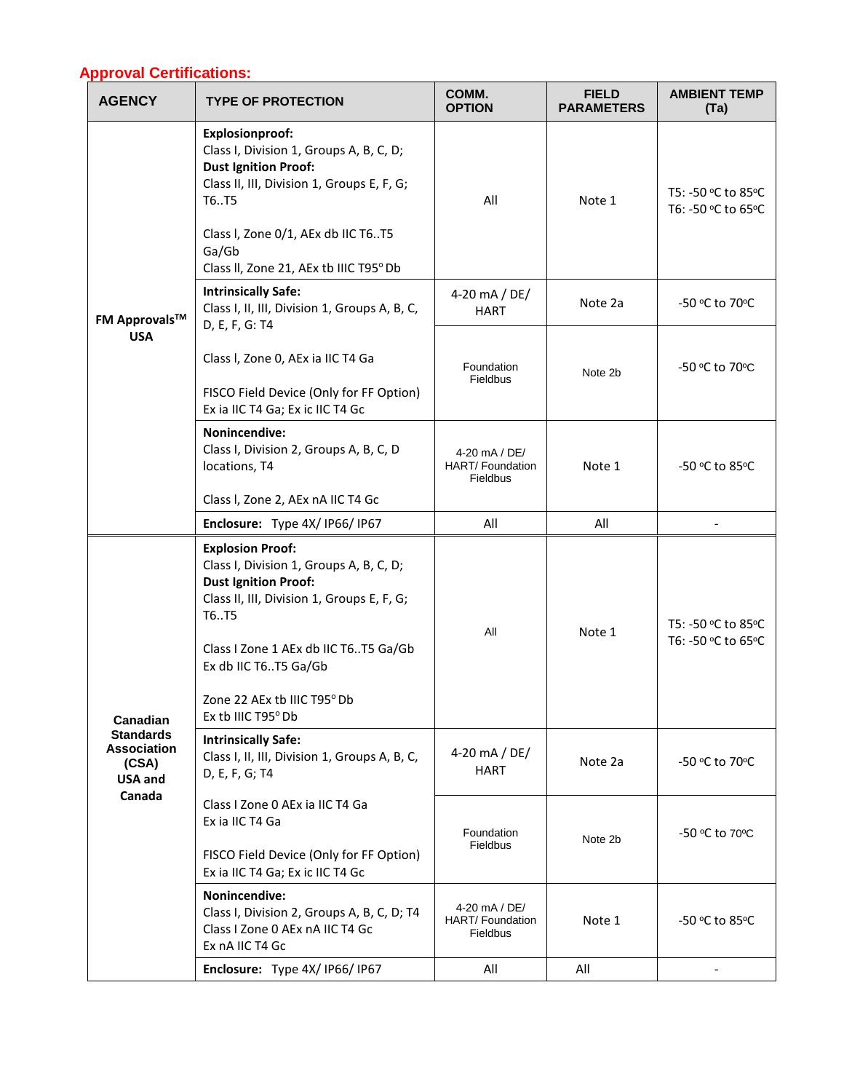## **Approval Certifications:**

| pprovar o <del>c</del> runcauons.<br><b>AGENCY</b>                            | <b>TYPE OF PROTECTION</b>                                                                                                                                                                                                                              | COMM.<br><b>OPTION</b>                               | <b>FIELD</b><br><b>PARAMETERS</b> | <b>AMBIENT TEMP</b><br>(Ta)              |
|-------------------------------------------------------------------------------|--------------------------------------------------------------------------------------------------------------------------------------------------------------------------------------------------------------------------------------------------------|------------------------------------------------------|-----------------------------------|------------------------------------------|
|                                                                               | <b>Explosionproof:</b><br>Class I, Division 1, Groups A, B, C, D;<br><b>Dust Ignition Proof:</b><br>Class II, III, Division 1, Groups E, F, G;<br>T6T5<br>Class I, Zone 0/1, AEx db IIC T6T5<br>Ga/Gb<br>Class II, Zone 21, AEx tb IIIC T95° Db        | All                                                  | Note 1                            | T5: -50 °C to 85°C<br>T6: -50 °C to 65°C |
| <b>FM Approvals™</b>                                                          | <b>Intrinsically Safe:</b><br>Class I, II, III, Division 1, Groups A, B, C,<br>D, E, F, G: T4                                                                                                                                                          | 4-20 mA / DE/<br><b>HART</b>                         | Note 2a                           | -50 °C to 70°C                           |
| <b>USA</b>                                                                    | Class I, Zone 0, AEx ia IIC T4 Ga<br>FISCO Field Device (Only for FF Option)<br>Ex ia IIC T4 Ga; Ex ic IIC T4 Gc                                                                                                                                       | Foundation<br>Fieldbus                               | Note 2b                           | -50 °C to 70°C                           |
|                                                                               | Nonincendive:<br>Class I, Division 2, Groups A, B, C, D<br>locations, T4                                                                                                                                                                               | 4-20 mA / DE/<br>HART/ Foundation<br>Fieldbus        | Note 1                            | -50 °C to 85°C                           |
|                                                                               | Class I, Zone 2, AEx nA IIC T4 Gc<br>Enclosure: Type 4X/IP66/IP67                                                                                                                                                                                      | All                                                  | All                               |                                          |
|                                                                               | <b>Explosion Proof:</b><br>Class I, Division 1, Groups A, B, C, D;<br><b>Dust Ignition Proof:</b><br>Class II, III, Division 1, Groups E, F, G;<br>T6T5<br>Class I Zone 1 AEx db IIC T6T5 Ga/Gb<br>Ex db IIC T6T5 Ga/Gb<br>Zone 22 AEx tb IIIC T95° Db | All                                                  | Note 1                            | T5: -50 °C to 85°C<br>T6: -50 °C to 65°C |
| Canadian<br><b>Standards</b><br><b>Association</b><br>(CSA)<br><b>USA and</b> | Fx th IIIC T95° Db<br><b>Intrinsically Safe:</b><br>Class I, II, III, Division 1, Groups A, B, C,<br>D, E, F, G; T4                                                                                                                                    | 4-20 mA / DE/<br><b>HART</b>                         | Note 2a                           | -50 °C to 70°C                           |
| Canada                                                                        | Class I Zone 0 AEx ia IIC T4 Ga<br>Ex ia IIC T4 Ga<br>FISCO Field Device (Only for FF Option)<br>Ex ia IIC T4 Ga; Ex ic IIC T4 Gc                                                                                                                      | Foundation<br>Fieldbus                               | Note 2b                           | -50 °C to 70°C                           |
|                                                                               | Nonincendive:<br>Class I, Division 2, Groups A, B, C, D; T4<br>Class I Zone 0 AEx nA IIC T4 Gc<br>Ex nA IIC T4 Gc                                                                                                                                      | 4-20 mA / DE/<br>HART/ Foundation<br><b>Fieldbus</b> | Note 1                            | -50 °C to 85°C                           |
|                                                                               | Enclosure: Type 4X/IP66/IP67                                                                                                                                                                                                                           | All                                                  | All                               |                                          |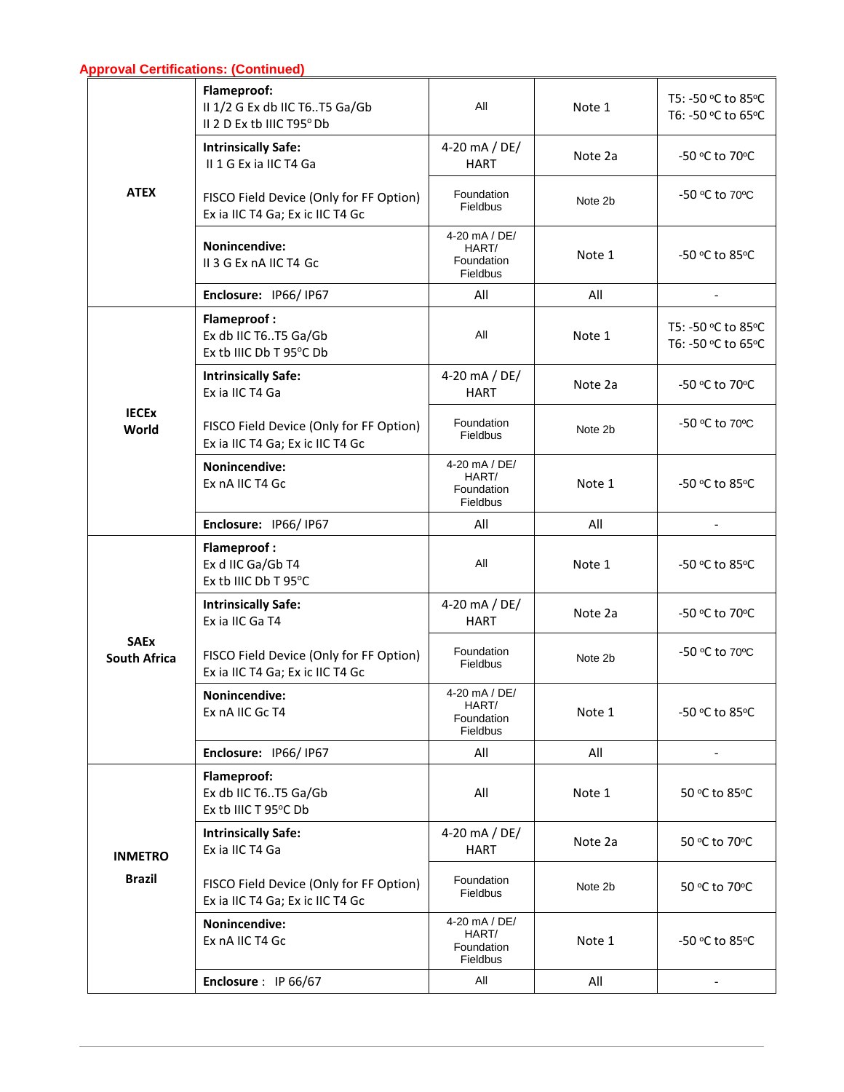## **Approval Certifications: (Continued)**

|                                    | Flameproof:<br>II 1/2 G Ex db IIC T6T5 Ga/Gb<br>II 2 D Ex tb IIIC T95° Db   | All                                              | Note 1  | T5: -50 °C to 85°C<br>T6: -50 °C to 65°C |
|------------------------------------|-----------------------------------------------------------------------------|--------------------------------------------------|---------|------------------------------------------|
|                                    | <b>Intrinsically Safe:</b><br>II 1 G Ex ia IIC T4 Ga                        | 4-20 mA / DE/<br><b>HART</b>                     | Note 2a | -50 °C to 70°C                           |
| <b>ATEX</b>                        | FISCO Field Device (Only for FF Option)<br>Ex ia IIC T4 Ga; Ex ic IIC T4 Gc | Foundation<br>Fieldbus                           | Note 2b | -50 °C to 70°C                           |
|                                    | Nonincendive:<br>II 3 G Ex nA IIC T4 Gc                                     | 4-20 mA / DE/<br>HART/<br>Foundation<br>Fieldbus | Note 1  | -50 °C to 85°C                           |
|                                    | Enclosure: IP66/IP67                                                        | All                                              | All     |                                          |
|                                    | <b>Flameproof:</b><br>Ex db IIC T6T5 Ga/Gb<br>Ex tb IIIC Db T 95°C Db       | All                                              | Note 1  | T5: -50 °C to 85°C<br>T6: -50 °C to 65°C |
|                                    | <b>Intrinsically Safe:</b><br>Ex ia IIC T4 Ga                               | 4-20 mA / DE/<br><b>HART</b>                     | Note 2a | -50 °C to 70°C                           |
| <b>IECEX</b><br>World              | FISCO Field Device (Only for FF Option)<br>Ex ia IIC T4 Ga; Ex ic IIC T4 Gc | Foundation<br>Fieldbus                           | Note 2b | -50 °C to 70°C                           |
|                                    | Nonincendive:<br>Ex nA IIC T4 Gc                                            | 4-20 mA / DE/<br>HART/<br>Foundation<br>Fieldbus | Note 1  | -50 °C to 85°C                           |
|                                    | Enclosure: IP66/IP67                                                        | All                                              | All     |                                          |
|                                    | <b>Flameproof:</b><br>Ex d IIC Ga/Gb T4<br>Ex tb IIIC Db T 95°C             | All                                              | Note 1  | -50 °C to 85°C                           |
|                                    | <b>Intrinsically Safe:</b><br>Ex ia IIC Ga T4                               | 4-20 mA / DE/<br><b>HART</b>                     | Note 2a | -50 °C to 70°C                           |
| <b>SAEx</b><br><b>South Africa</b> | FISCO Field Device (Only for FF Option)<br>Ex ia IIC T4 Ga; Ex ic IIC T4 Gc | Foundation<br>Fieldbus                           | Note 2b | -50 °C to 70°C                           |
|                                    | <b>Nonincendive:</b><br>Ex nA IIC Gc T4                                     | 4-20 mA / DE/<br>HART/<br>Foundation<br>Fieldbus | Note 1  | -50 °C to 85°C                           |
|                                    | Enclosure: IP66/IP67                                                        | All                                              | All     |                                          |
|                                    | <b>Flameproof:</b><br>Ex db IIC T6T5 Ga/Gb<br>Ex tb IIIC T 95°C Db          | All                                              | Note 1  | 50 °C to 85°C                            |
| <b>INMETRO</b>                     | <b>Intrinsically Safe:</b><br>Ex ia IIC T4 Ga                               | 4-20 mA / DE/<br><b>HART</b>                     | Note 2a | 50 °C to 70°C                            |
| <b>Brazil</b>                      | FISCO Field Device (Only for FF Option)<br>Ex ia IIC T4 Ga; Ex ic IIC T4 Gc | Foundation<br>Fieldbus                           | Note 2b | 50 °C to 70°C                            |
|                                    | Nonincendive:<br>Ex nA IIC T4 Gc                                            | 4-20 mA / DE/<br>HART/<br>Foundation<br>Fieldbus | Note 1  | -50 °C to 85°C                           |
|                                    | Enclosure: IP 66/67                                                         | All                                              | All     |                                          |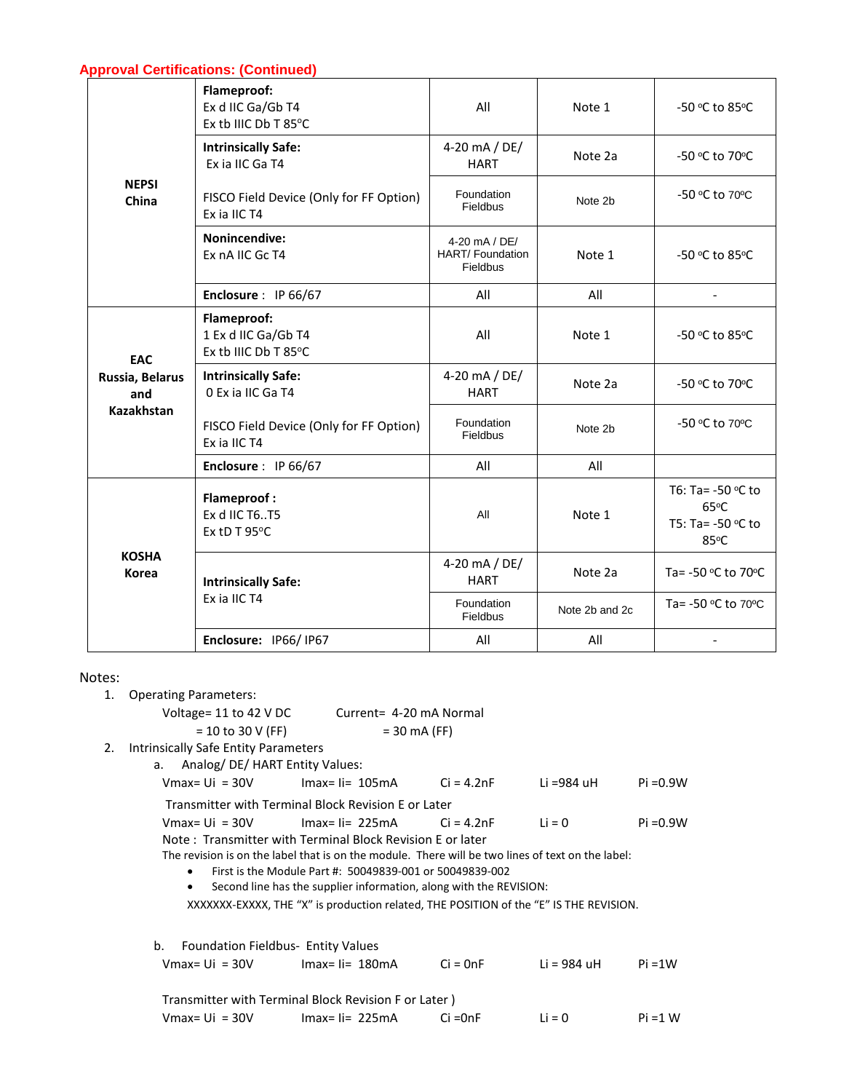|                              | Flameproof:<br>Ex d IIC Ga/Gb T4<br>Ex tb IIIC Db T 85°C   | All                                                        | Note 1         | -50 °C to 85°C                                        |
|------------------------------|------------------------------------------------------------|------------------------------------------------------------|----------------|-------------------------------------------------------|
|                              | <b>Intrinsically Safe:</b><br>Ex ia IIC Ga T4              | 4-20 mA / DE/<br><b>HART</b>                               | Note 2a        | -50 °C to 70°C                                        |
| <b>NEPSI</b><br>China        | FISCO Field Device (Only for FF Option)<br>Ex ia IIC T4    | Foundation<br><b>Fieldbus</b>                              | Note 2b        | -50 °C to 70°C                                        |
|                              | Nonincendive:<br>Ex nA IIC Gc T4                           | 4-20 mA / DE/<br><b>HART/Foundation</b><br><b>Fieldbus</b> | Note 1         | -50 °C to 85°C                                        |
|                              | Enclosure: IP 66/67                                        | All                                                        | All            |                                                       |
| EAC                          | Flameproof:<br>1 Ex d IIC Ga/Gb T4<br>Ex tb IIIC Db T 85°C | All                                                        | Note 1         | -50 °C to 85°C                                        |
| Russia, Belarus<br>and       | <b>Intrinsically Safe:</b><br>0 Ex ia IIC Ga T4            | 4-20 mA / DE/<br><b>HART</b>                               | Note 2a        | -50 °C to 70°C                                        |
| <b>Kazakhstan</b>            | FISCO Field Device (Only for FF Option)<br>Ex ia IIC T4    | Foundation<br>Fieldbus                                     | Note 2b        | -50 °C to 70°C                                        |
|                              | Enclosure: IP 66/67                                        | All                                                        | All            |                                                       |
|                              | <b>Flameproof:</b><br>Ex d IIC T6T5<br>Ex tD T 95°C        | All                                                        | Note 1         | T6: Ta= -50 °C to<br>65°C<br>T5: Ta= -50 ℃ to<br>85°C |
| <b>KOSHA</b><br><b>Korea</b> | <b>Intrinsically Safe:</b>                                 | 4-20 mA / DE/<br><b>HART</b>                               | Note 2a        | Ta= -50 °C to 70°C                                    |
|                              | Ex ia IIC T4                                               | Foundation<br><b>Fieldbus</b>                              | Note 2b and 2c | Ta= -50 °C to 70°C                                    |
|                              | Enclosure: IP66/IP67                                       | All                                                        | All            |                                                       |

## Notes:

| いしつ・ |                                                 |                                                                                                   |            |             |             |
|------|-------------------------------------------------|---------------------------------------------------------------------------------------------------|------------|-------------|-------------|
| 1.   | <b>Operating Parameters:</b>                    |                                                                                                   |            |             |             |
|      |                                                 | Voltage= 11 to 42 V DC Current= 4-20 mA Normal                                                    |            |             |             |
|      | $= 10$ to 30 V (FF)                             | $= 30 \text{ mA}$ (FF)                                                                            |            |             |             |
| 2.   | Intrinsically Safe Entity Parameters            |                                                                                                   |            |             |             |
|      | a. Analog/DE/HART Entity Values:                |                                                                                                   |            |             |             |
|      |                                                 | Vmax= Ui = $30V$ Imax= Ii= $105mA$ Ci = $4.2nF$                                                   |            | Li =984 uH  | $Pi = 0.9W$ |
|      |                                                 | Transmitter with Terminal Block Revision E or Later                                               |            |             |             |
|      | $Vmax = Ui = 30V$                               | $Imax=$ $\text{li}=$ 225mA $\text{Ci}=$ 4.2nF                                                     |            | $Li = 0$    | $Pi = 0.9W$ |
|      |                                                 | Note: Transmitter with Terminal Block Revision E or later                                         |            |             |             |
|      |                                                 | The revision is on the label that is on the module. There will be two lines of text on the label: |            |             |             |
|      | $\bullet$                                       | First is the Module Part #: 50049839-001 or 50049839-002                                          |            |             |             |
|      | $\bullet$                                       | Second line has the supplier information, along with the REVISION:                                |            |             |             |
|      |                                                 | XXXXXXX-EXXXX, THE "X" is production related, THE POSITION of the "E" IS THE REVISION.            |            |             |             |
|      |                                                 |                                                                                                   |            |             |             |
|      | <b>Foundation Fieldbus- Entity Values</b><br>b. |                                                                                                   |            |             |             |
|      |                                                 | Vmax= Ui = $30V$ Imax= Ii= $180mA$                                                                | $Ci = OnF$ | Li = 984 uH | $Pi = 1W$   |
|      |                                                 | Transmitter with Terminal Block Revision F or Later)                                              |            |             |             |
|      | $V$ max= Ui = 30V                               |                                                                                                   | $Ci = OnF$ | $Li = 0$    | $Pi = 1$ W  |
|      |                                                 | $Imax = I = 225mA$                                                                                |            |             |             |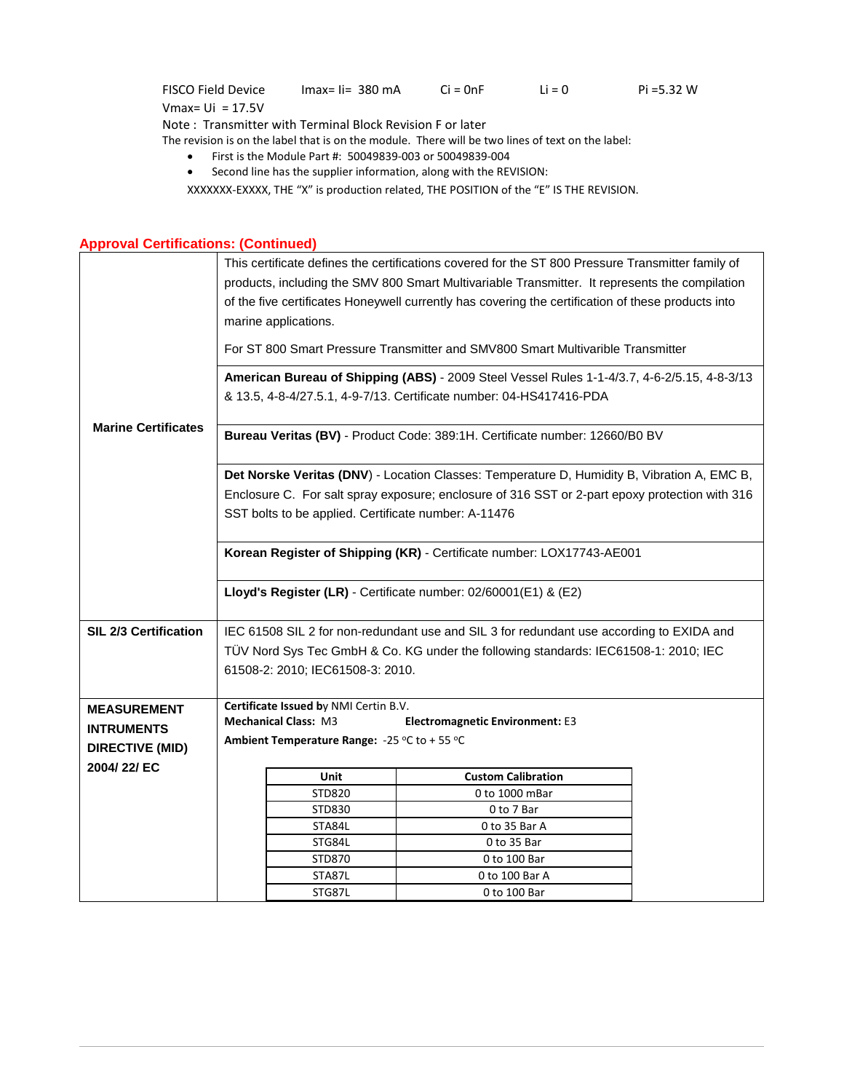FISCO Field Device Vmax= Ui = 17.5V  $Imax = I = 380 \text{ mA}$   $Ci = 0 \text{ nF}$   $Li = 0$   $Pi = 5.32 \text{ W}$ Note : Transmitter with Terminal Block Revision F or later The revision is on the label that is on the module. There will be two lines of text on the label:

- First is the Module Part #: 50049839-003 or 50049839-004
- Second line has the supplier information, along with the REVISION:

XXXXXXX-EXXXX, THE "X" is production related, THE POSITION of the "E" IS THE REVISION.

## **Approval Certifications: (Continued)**

|                            |                                                                                                                                                                    | This certificate defines the certifications covered for the ST 800 Pressure Transmitter family of<br>products, including the SMV 800 Smart Multivariable Transmitter. It represents the compilation<br>of the five certificates Honeywell currently has covering the certification of these products into<br>marine applications.<br>For ST 800 Smart Pressure Transmitter and SMV800 Smart Multivarible Transmitter |                                                                                                                                                                                               |  |  |  |  |
|----------------------------|--------------------------------------------------------------------------------------------------------------------------------------------------------------------|----------------------------------------------------------------------------------------------------------------------------------------------------------------------------------------------------------------------------------------------------------------------------------------------------------------------------------------------------------------------------------------------------------------------|-----------------------------------------------------------------------------------------------------------------------------------------------------------------------------------------------|--|--|--|--|
|                            | American Bureau of Shipping (ABS) - 2009 Steel Vessel Rules 1-1-4/3.7, 4-6-2/5.15, 4-8-3/13<br>& 13.5, 4-8-4/27.5.1, 4-9-7/13. Certificate number: 04-HS417416-PDA |                                                                                                                                                                                                                                                                                                                                                                                                                      |                                                                                                                                                                                               |  |  |  |  |
| <b>Marine Certificates</b> |                                                                                                                                                                    |                                                                                                                                                                                                                                                                                                                                                                                                                      | Bureau Veritas (BV) - Product Code: 389:1H. Certificate number: 12660/B0 BV                                                                                                                   |  |  |  |  |
|                            |                                                                                                                                                                    | SST bolts to be applied. Certificate number: A-11476                                                                                                                                                                                                                                                                                                                                                                 | Det Norske Veritas (DNV) - Location Classes: Temperature D, Humidity B, Vibration A, EMC B,<br>Enclosure C. For salt spray exposure; enclosure of 316 SST or 2-part epoxy protection with 316 |  |  |  |  |
|                            | Korean Register of Shipping (KR) - Certificate number: LOX17743-AE001                                                                                              |                                                                                                                                                                                                                                                                                                                                                                                                                      |                                                                                                                                                                                               |  |  |  |  |
|                            |                                                                                                                                                                    |                                                                                                                                                                                                                                                                                                                                                                                                                      | Lloyd's Register (LR) - Certificate number: 02/60001(E1) & (E2)                                                                                                                               |  |  |  |  |
| SIL 2/3 Certification      |                                                                                                                                                                    |                                                                                                                                                                                                                                                                                                                                                                                                                      | IEC 61508 SIL 2 for non-redundant use and SIL 3 for redundant use according to EXIDA and                                                                                                      |  |  |  |  |
|                            |                                                                                                                                                                    |                                                                                                                                                                                                                                                                                                                                                                                                                      | TÜV Nord Sys Tec GmbH & Co. KG under the following standards: IEC61508-1: 2010; IEC                                                                                                           |  |  |  |  |
|                            |                                                                                                                                                                    | 61508-2: 2010; IEC61508-3: 2010.                                                                                                                                                                                                                                                                                                                                                                                     |                                                                                                                                                                                               |  |  |  |  |
|                            |                                                                                                                                                                    |                                                                                                                                                                                                                                                                                                                                                                                                                      |                                                                                                                                                                                               |  |  |  |  |
| <b>MEASUREMENT</b>         |                                                                                                                                                                    | Certificate Issued by NMI Certin B.V.                                                                                                                                                                                                                                                                                                                                                                                |                                                                                                                                                                                               |  |  |  |  |
| <b>INTRUMENTS</b>          |                                                                                                                                                                    | <b>Mechanical Class: M3</b>                                                                                                                                                                                                                                                                                                                                                                                          | <b>Electromagnetic Environment: E3</b>                                                                                                                                                        |  |  |  |  |
| <b>DIRECTIVE (MID)</b>     |                                                                                                                                                                    | Ambient Temperature Range: -25 °C to + 55 °C                                                                                                                                                                                                                                                                                                                                                                         |                                                                                                                                                                                               |  |  |  |  |
| 2004/22/EC                 |                                                                                                                                                                    | Unit                                                                                                                                                                                                                                                                                                                                                                                                                 | <b>Custom Calibration</b>                                                                                                                                                                     |  |  |  |  |
|                            |                                                                                                                                                                    | <b>STD820</b>                                                                                                                                                                                                                                                                                                                                                                                                        | 0 to 1000 mBar                                                                                                                                                                                |  |  |  |  |
|                            |                                                                                                                                                                    | STD830                                                                                                                                                                                                                                                                                                                                                                                                               | 0 to 7 Bar                                                                                                                                                                                    |  |  |  |  |
|                            |                                                                                                                                                                    | STA84L                                                                                                                                                                                                                                                                                                                                                                                                               | 0 to 35 Bar A                                                                                                                                                                                 |  |  |  |  |
|                            |                                                                                                                                                                    | STG84L                                                                                                                                                                                                                                                                                                                                                                                                               | 0 to 35 Bar                                                                                                                                                                                   |  |  |  |  |
|                            |                                                                                                                                                                    | STD870                                                                                                                                                                                                                                                                                                                                                                                                               | 0 to 100 Bar                                                                                                                                                                                  |  |  |  |  |
|                            |                                                                                                                                                                    | STA87L                                                                                                                                                                                                                                                                                                                                                                                                               | 0 to 100 Bar A                                                                                                                                                                                |  |  |  |  |
|                            |                                                                                                                                                                    | STG87L                                                                                                                                                                                                                                                                                                                                                                                                               | 0 to 100 Bar                                                                                                                                                                                  |  |  |  |  |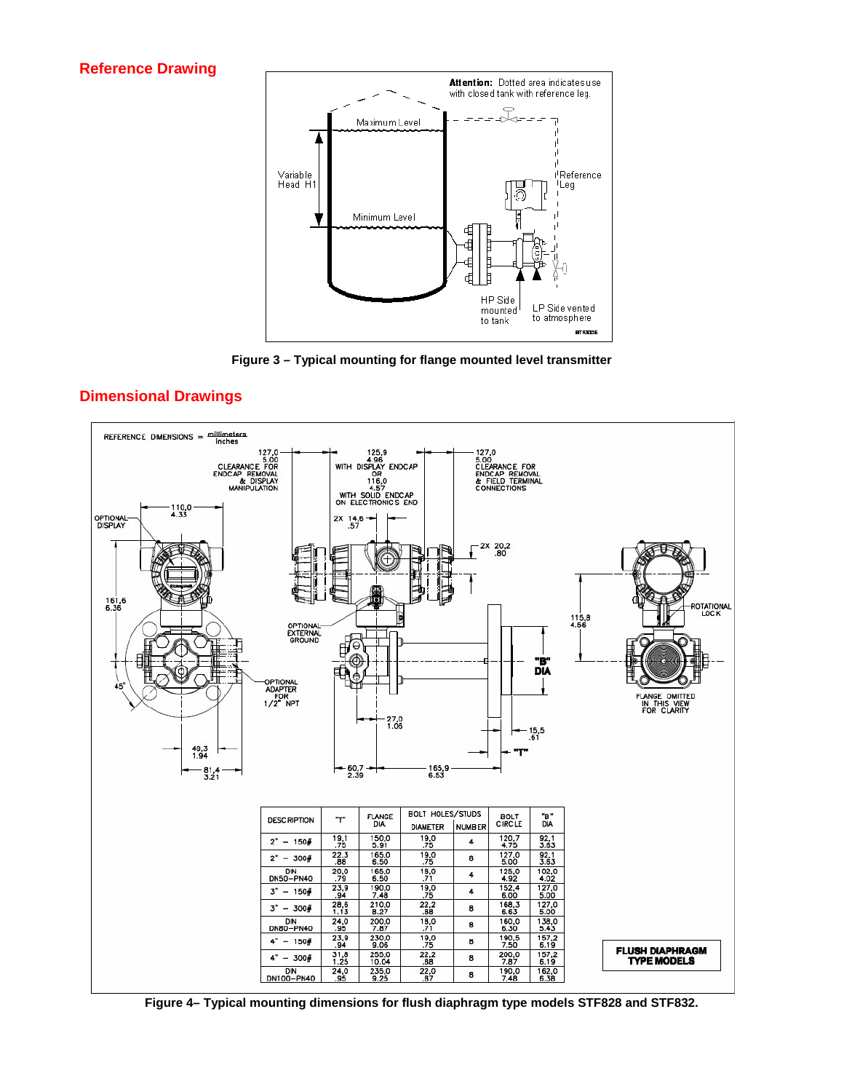#### **Reference Drawing**



**Figure 3 – Typical mounting for flange mounted level transmitter**



<span id="page-12-0"></span>**Dimensional Drawings**

<span id="page-12-1"></span>**Figure 4– Typical mounting dimensions for flush diaphragm type models STF828 and STF832.**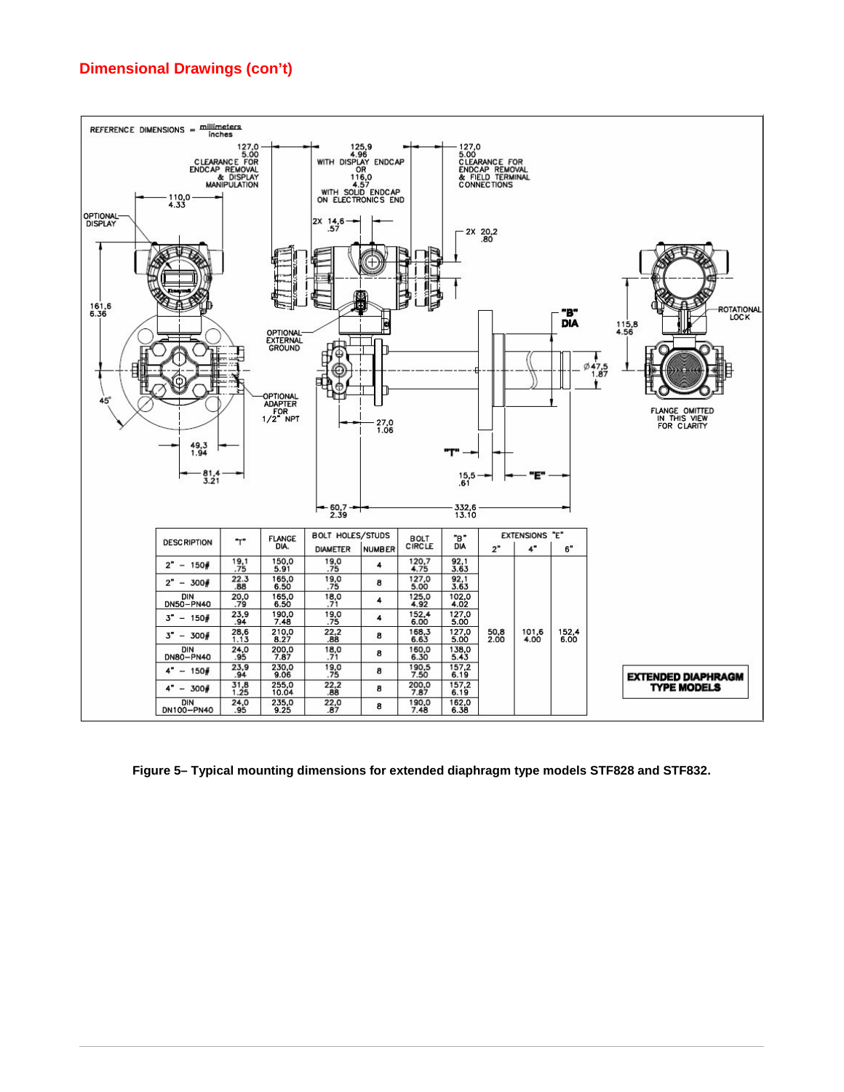## **Dimensional Drawings (con't)**



<span id="page-13-0"></span>**Figure 5– Typical mounting dimensions for extended diaphragm type models STF828 and STF832.**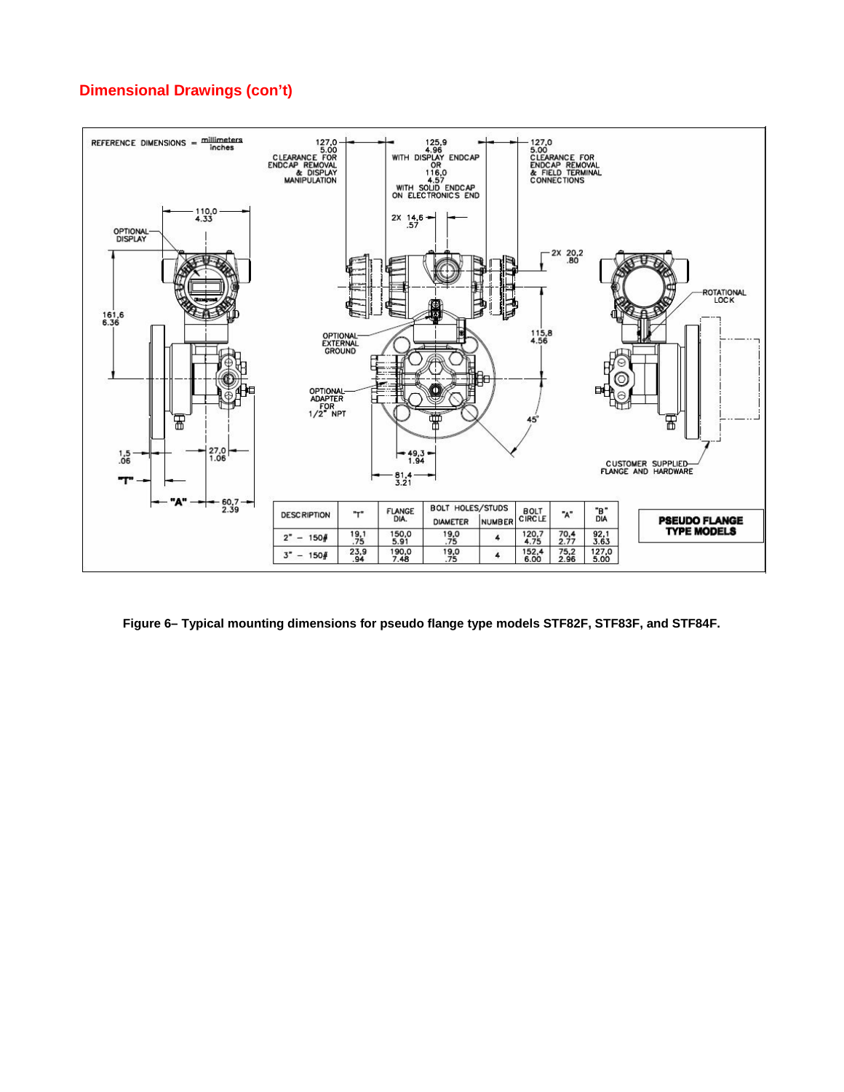## **Dimensional Drawings (con't)**



<span id="page-14-0"></span>**Figure 6– Typical mounting dimensions for pseudo flange type models STF82F, STF83F, and STF84F.**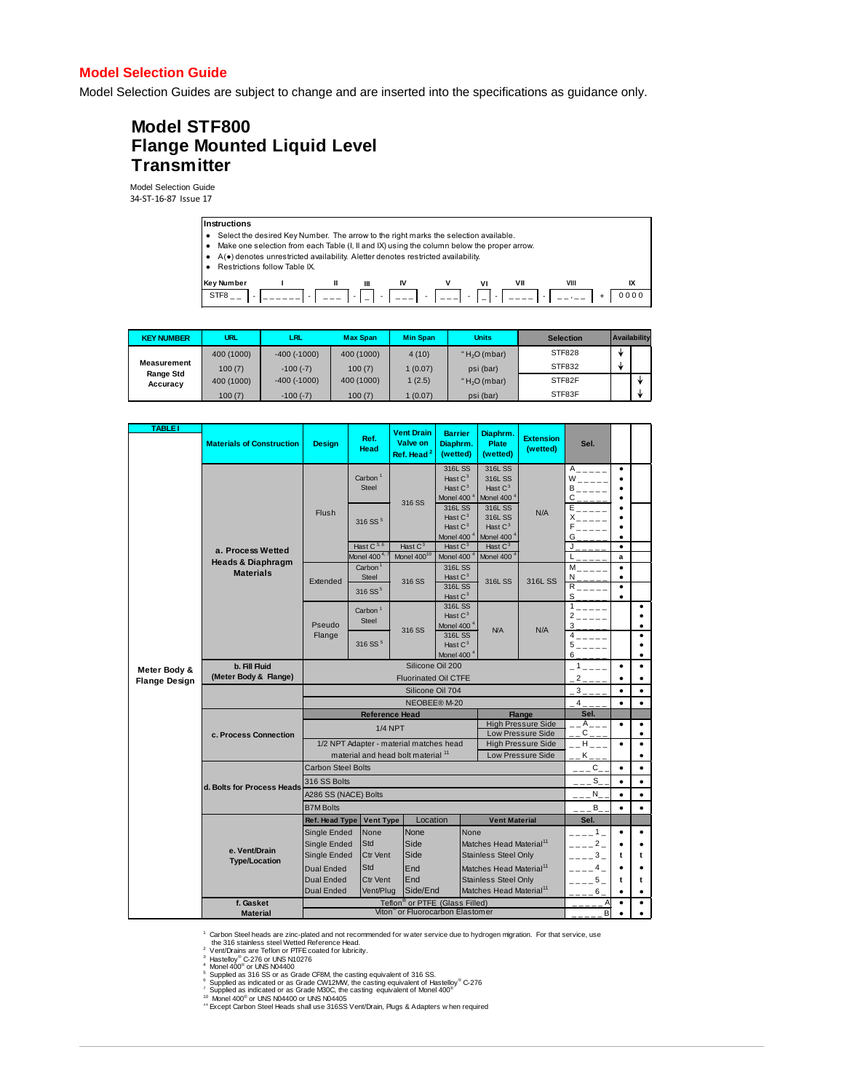#### **Model Selection Guide**

Model Selection Guides are subject to change and are inserted into the specifications as guidance only.

## **Model STF800 Flange Mounted Liquid Level Transmitter**

Model Selection Guide 34-ST-16-87 Issue 17



| <b>KEY NUMBER</b>        | <b>URL</b> | LRL                | <b>Max Span</b> | <b>Min Span</b> | <b>Units</b>   | <b>Selection</b> | Availability |  |
|--------------------------|------------|--------------------|-----------------|-----------------|----------------|------------------|--------------|--|
|                          | 400 (1000) | $-400$ ( $-1000$ ) | 400 (1000)      | 4(10)           | " $H2O$ (mbar) | <b>STF828</b>    | sk           |  |
| Measurement<br>Range Std | 100(7)     | $-100(-7)$         | 100(7)          | 1(0.07)         | psi (bar)      | STF832           | sk           |  |
| Accuracy                 | 400 (1000) | $-400$ ( $-1000$ ) | 400 (1000)      | 1(2.5)          | " $H2O$ (mbar) | STF82F           |              |  |
|                          | 100(7)     | $-100(-7)$         | 100(7)          | 1(0.07)         | psi (bar)      | STF83F           |              |  |

| <b>TABLE1</b>        | <b>Materials of Construction</b> | Design                                                             | Ref.<br>Head                                               | <b>Vent Drain</b><br>Valve on<br>Ref. Head <sup>2</sup> | <b>Barrier</b><br>Diaphrm.<br>(wetted)                        | Diaphrm.<br><b>Plate</b><br>(wetted)                               | <b>Extension</b><br>(wetted) | Sel.                                                  |                                  |                |
|----------------------|----------------------------------|--------------------------------------------------------------------|------------------------------------------------------------|---------------------------------------------------------|---------------------------------------------------------------|--------------------------------------------------------------------|------------------------------|-------------------------------------------------------|----------------------------------|----------------|
|                      |                                  |                                                                    | Carbon <sup>1</sup><br>Steel                               | 316 SS                                                  | 316L SS<br>Hast $C^3$<br>Hast $C^3$<br>Monel 400 <sup>4</sup> | 316L SS<br>316L SS<br>Hast $C^3$<br>Monel 400 <sup>4</sup>         |                              | A<br>W<br>B<br>Ċ                                      | $\bullet$<br>٠                   |                |
|                      |                                  | Flush                                                              | 316 SS <sup>5</sup>                                        |                                                         | 316L SS<br>Hast $C^3$<br>Hast $C^3$<br>Monel 400 <sup>4</sup> | 316L SS<br>316L SS<br>Hast $C^3$<br>Monel 400 $^4$                 | N/A                          | E<br>X<br>F<br>G                                      |                                  |                |
|                      | a. Process Wetted                |                                                                    | Hast C <sup>3, 6</sup>                                     | Hast $C^3$                                              | Hast $C^3$                                                    | Hast $C^3$                                                         |                              | J                                                     | $\bullet$                        |                |
|                      | <b>Heads &amp; Diaphragm</b>     |                                                                    | Vlonel 400 $4$                                             | Monel $400^{10}$                                        | Monel 400 <sup>4</sup>                                        | Monel 400                                                          |                              |                                                       | a                                |                |
|                      | <b>Materials</b>                 | Extended                                                           | Carbon <sup>1</sup><br><b>Steel</b><br>316 SS <sup>5</sup> | 316 SS                                                  | 316L SS<br>Hast $C^3$<br>316L SS<br>Hast $C^3$                | 316L SS                                                            | 316L SS                      | M<br>N<br>R<br>S                                      | $\bullet$<br>٠<br>$\bullet$<br>٠ |                |
|                      |                                  | Pseudo                                                             | Carbon <sup>1</sup><br><b>Steel</b>                        | 316 SS                                                  | 316L SS<br>Hast $C^3$<br>Monel 400 <sup>4</sup><br>316L SS    | <b>N/A</b>                                                         | N/A                          | $\mathbf{1}$<br>$\overline{2}$<br>3<br>$\overline{4}$ |                                  | ٠<br>٠<br>٠    |
|                      |                                  | Flange                                                             | 316 SS <sup>5</sup>                                        |                                                         | Hast $C^3$<br>Monel 400 <sup>4</sup>                          |                                                                    |                              | 5<br>6                                                |                                  | ٠              |
| Meter Body &         | b. Fill Fluid                    | Silicone Oil 200                                                   |                                                            |                                                         |                                                               |                                                                    | $\mathbf{1}$                 | $\bullet$                                             | $\bullet$                        |                |
| <b>Flange Design</b> | (Meter Body & Flange)            | <b>Fluorinated Oil CTFE</b>                                        |                                                            |                                                         |                                                               |                                                                    |                              | $\overline{c}$                                        | $\bullet$                        | $\bullet$      |
|                      |                                  |                                                                    |                                                            | Silicone Oil 704                                        |                                                               |                                                                    |                              | 3                                                     | $\bullet$                        | $\bullet$      |
|                      |                                  |                                                                    |                                                            | NEOBEE® M-20                                            |                                                               |                                                                    |                              | 4                                                     | $\bullet$                        | $\bullet$      |
|                      |                                  | <b>Reference Head</b><br><b>Flange</b>                             |                                                            |                                                         |                                                               | Sel.<br>$\overline{A}$                                             |                              |                                                       |                                  |                |
|                      | c. Process Connection            | <b>High Pressure Side</b><br><b>1/4 NPT</b><br>Low Pressure Side   |                                                            |                                                         |                                                               |                                                                    | С                            | $\bullet$                                             | $\bullet$<br>٠                   |                |
|                      |                                  | 1/2 NPT Adapter - material matches head                            |                                                            |                                                         |                                                               | <b>High Pressure Side</b>                                          | H                            | $\bullet$                                             | $\bullet$                        |                |
|                      |                                  | Low Pressure Side<br>material and head bolt material <sup>11</sup> |                                                            |                                                         |                                                               |                                                                    | Κ                            |                                                       | ٠                                |                |
|                      |                                  | <b>Carbon Steel Bolts</b>                                          |                                                            |                                                         |                                                               |                                                                    |                              | $C_{-}$                                               | $\bullet$                        | $\bullet$      |
|                      |                                  | 316 SS Bolts                                                       |                                                            |                                                         |                                                               |                                                                    | $\mathbb S$                  | ٠                                                     | $\bullet$                        |                |
|                      | d. Bolts for Process Heads       | A286 SS (NACE) Bolts                                               |                                                            |                                                         |                                                               |                                                                    |                              | N_                                                    | $\bullet$                        | $\bullet$      |
|                      |                                  | <b>B7M Bolts</b>                                                   |                                                            |                                                         |                                                               |                                                                    |                              | В                                                     | $\bullet$                        | $\bullet$      |
|                      |                                  | Ref. Head Type                                                     | <b>Vent Type</b>                                           | Location                                                |                                                               | <b>Vent Material</b>                                               |                              | Sel.                                                  |                                  |                |
|                      | e. Vent/Drain                    | Single Ended<br>Single Ended                                       | None<br>Std                                                | None<br>Side                                            |                                                               | None<br>Matches Head Material <sup>11</sup>                        |                              | 1<br>$\overline{2}$                                   | $\bullet$                        | $\bullet$      |
|                      | <b>Type/Location</b>             | Single Ended                                                       | <b>Ctr Vent</b>                                            | Side                                                    |                                                               | <b>Stainless Steel Only</b>                                        |                              | 3                                                     | t                                | t              |
|                      |                                  | <b>Dual Ended</b>                                                  | Std                                                        | End                                                     |                                                               | Matches Head Material <sup>11</sup>                                |                              | 4                                                     |                                  |                |
|                      |                                  | <b>Dual Ended</b><br><b>Dual Ended</b>                             | <b>Ctr Vent</b><br>Vent/Plua                               | End<br>Side/End                                         |                                                               | <b>Stainless Steel Only</b><br>Matches Head Material <sup>11</sup> |                              | 5<br>6                                                | t                                | t<br>$\bullet$ |
|                      | f. Gasket                        |                                                                    |                                                            | Teflon <sup>®</sup> or PTFE (Glass Filled)              |                                                               |                                                                    |                              | Α                                                     | $\bullet$                        | $\bullet$      |
|                      | <b>Material</b>                  |                                                                    |                                                            | Viton or Fluorocarbon Elastomer                         |                                                               |                                                                    |                              | B                                                     |                                  | ٠              |

1 Carbon Steel heads are zinc-plated and not recommended for w ater service due to hydrogen migration. For that service, use the 316 stainless steel Wetted Reference Head.

<sup>2</sup> Vent/Drains are Tefion or PTFE coated for lubricity.<br><sup>3</sup> Hastelloy® C-276 or UNS N10276<br><sup>4</sup> Monel 400<sup>®</sup> or UNS N04400<br><sup>6</sup> Supplied as 316 SS or as Grade CF8M, the casting equivalent of 316 SS.<br><sup>6</sup> Supplied as indicate

<sup>11</sup> Except Carbon Steel Heads shall use 316SS Vent/Drain, Plugs & Adapters w hen required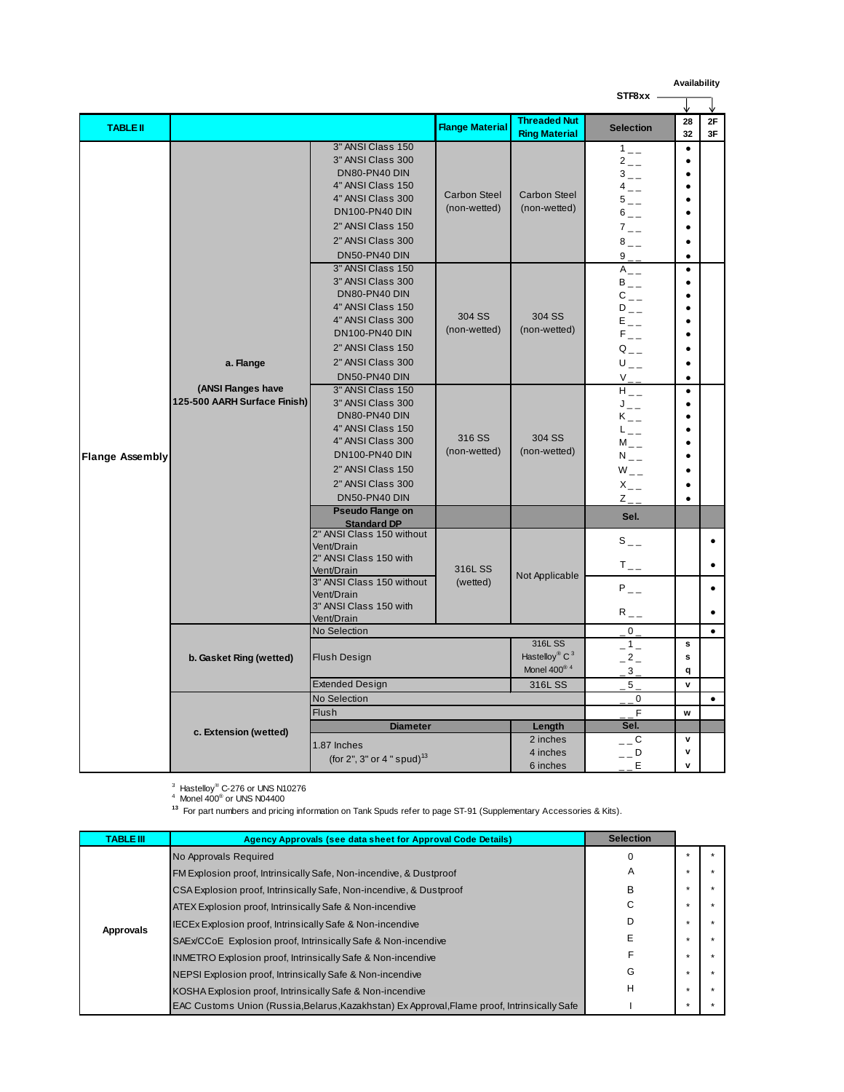|                        |                                                                 |                                                                                                                                                                                                                                                                                                                                                               |                                                               |                                                                            |                                                                                                                                                                                                                                                                        | Availability                                                                                                                                     |           |
|------------------------|-----------------------------------------------------------------|---------------------------------------------------------------------------------------------------------------------------------------------------------------------------------------------------------------------------------------------------------------------------------------------------------------------------------------------------------------|---------------------------------------------------------------|----------------------------------------------------------------------------|------------------------------------------------------------------------------------------------------------------------------------------------------------------------------------------------------------------------------------------------------------------------|--------------------------------------------------------------------------------------------------------------------------------------------------|-----------|
|                        |                                                                 |                                                                                                                                                                                                                                                                                                                                                               |                                                               |                                                                            | STF8xx -                                                                                                                                                                                                                                                               |                                                                                                                                                  |           |
| <b>TABLE II</b>        |                                                                 |                                                                                                                                                                                                                                                                                                                                                               | <b>Flange Material</b>                                        | <b>Threaded Nut</b><br><b>Ring Material</b>                                | <b>Selection</b>                                                                                                                                                                                                                                                       | 28<br>32                                                                                                                                         | 2F<br>3F  |
| <b>Flange Assembly</b> |                                                                 | 3" ANSI Class 150<br>3" ANSI Class 300<br>DN80-PN40 DIN<br>4" ANSI Class 150<br>4" ANSI Class 300<br><b>DN100-PN40 DIN</b><br>2" ANSI Class 150<br>2" ANSI Class 300<br>DN50-PN40 DIN<br>3" ANSI Class 150<br>3" ANSI Class 300<br>DN80-PN40 DIN<br>4" ANSI Class 150<br>4" ANSI Class 300<br><b>DN100-PN40 DIN</b><br>2" ANSI Class 150<br>2" ANSI Class 300 | <b>Carbon Steel</b><br>(non-wetted)<br>304 SS<br>(non-wetted) | <b>Carbon Steel</b><br>(non-wetted)<br>304 SS<br>(non-wetted)              | $1\degree$<br>$2_{-}$<br>$3\degree$<br>$4 \quad -$<br>$5\degree$<br>$6\degree$<br>$7 -$<br>$8\degree$<br>$9 -$<br>$A_{-}$<br>$B_{-}$<br>${\rm C}_{\,--}$<br>$D_{--}$<br>$\mathsf{E}\hspace{0.2mm}_{\mathsf{a}\mathsf{b}\mathsf{b}}$<br>$F_{--}$<br>$Q_{--}$<br>$U_{-}$ | $\bullet$<br>$\bullet$<br>$\bullet$<br>$\bullet$<br>$\bullet$<br>$\bullet$<br>$\bullet$<br>$\bullet$<br>$\bullet$<br>$\bullet$<br>$\bullet$<br>٠ |           |
|                        | a. Flange<br>(ANSI Flanges have<br>125-500 AARH Surface Finish) | DN50-PN40 DIN<br>3" ANSI Class 150<br>3" ANSI Class 300<br>DN80-PN40 DIN<br>4" ANSI Class 150<br>4" ANSI Class 300<br><b>DN100-PN40 DIN</b><br>2" ANSI Class 150<br>2" ANSI Class 300<br>DN50-PN40 DIN<br><b>Pseudo Flange on</b>                                                                                                                             | 316 SS<br>(non-wetted)                                        | 304 SS<br>(non-wetted)                                                     | $V_{-\equiv}$<br>$H_{--}$<br>$\mathsf{J}_{--}$<br>$K_{--}$<br>$L_{--}$<br>$M_{-}$<br>$N_{-}$<br>$W_{-}$<br>$X_{-}$<br>$Z_{--}$<br>Sel.                                                                                                                                 | $\bullet$<br>$\bullet$<br>$\bullet$<br>$\bullet$<br>$\bullet$<br>$\bullet$<br>$\bullet$<br>$\bullet$                                             |           |
|                        |                                                                 | <b>Standard DP</b><br>2" ANSI Class 150 without<br>Vent/Drain<br>2" ANSI Class 150 with<br>Vent/Drain<br>3" ANSI Class 150 without<br>Vent/Drain<br>3" ANSI Class 150 with<br>Vent/Drain                                                                                                                                                                      | 316L SS<br>(wetted)                                           | Not Applicable                                                             | $S_{--}$<br>$T_{--}$<br>$P_{--}$<br>$R_{--}$                                                                                                                                                                                                                           |                                                                                                                                                  | $\bullet$ |
|                        | b. Gasket Ring (wetted)                                         | No Selection<br><b>Flush Design</b><br><b>Extended Design</b>                                                                                                                                                                                                                                                                                                 |                                                               | 316L SS<br>Hastelloy® $C^3$<br>Monel $400^{\circ}$ <sup>4</sup><br>316L SS | $\mathbf{0}$<br>$-1-$<br>$-2-$<br>$3_{-}$<br>5 <sub>1</sub>                                                                                                                                                                                                            | s<br>s<br>q<br>v                                                                                                                                 | $\bullet$ |
|                        |                                                                 | No Selection<br><b>Flush</b>                                                                                                                                                                                                                                                                                                                                  |                                                               |                                                                            | $\mathbf 0$<br>$\mathsf{F}$                                                                                                                                                                                                                                            | W                                                                                                                                                | $\bullet$ |
|                        | c. Extension (wetted)                                           | <b>Diameter</b><br>1.87 Inches<br>(for 2", 3" or 4" spud) <sup>13</sup>                                                                                                                                                                                                                                                                                       |                                                               | Length<br>2 inches<br>4 inches<br>6 inches                                 | Sel.<br>$\overline{a}$<br>$  D$<br>E                                                                                                                                                                                                                                   | v<br>v<br>v                                                                                                                                      |           |

 $^3$  Hastelloy® C-276 or UNS N10276<br><sup>4</sup> Monel 400® or UNS N04400

**13** For part numbers and pricing information on Tank Spuds refer to page ST-91 (Supplementary Accessories & Kits).

| <b>TABLE III</b> | Agency Approvals (see data sheet for Approval Code Details)                                  | <b>Selection</b> |         |  |
|------------------|----------------------------------------------------------------------------------------------|------------------|---------|--|
|                  | No Approvals Required                                                                        | 0                |         |  |
|                  | FM Explosion proof, Intrinsically Safe, Non-incendive, & Dustproof                           | A                |         |  |
|                  | CSA Explosion proof, Intrinsically Safe, Non-incendive, & Dustproof                          | B                |         |  |
|                  | ATEX Explosion proof, Intrinsically Safe & Non-incendive                                     | С                |         |  |
|                  | <b>IECEx Explosion proof, Intrinsically Safe &amp; Non-incendive</b>                         | D                |         |  |
| Approvals        | SAEx/CCoE Explosion proof, Intrinsically Safe & Non-incendive                                | Е                |         |  |
|                  | <b>INMETRO Explosion proof, Intrinsically Safe &amp; Non-incendive</b>                       |                  |         |  |
|                  | NEPSI Explosion proof, Intrinsically Safe & Non-incendive                                    | G                |         |  |
|                  | KOSHA Explosion proof, Intrinsically Safe & Non-incendive                                    | Н                | -41     |  |
|                  | EAC Customs Union (Russia, Belarus, Kazakhstan) Ex Approval, Flame proof, Intrinsically Safe |                  | $\star$ |  |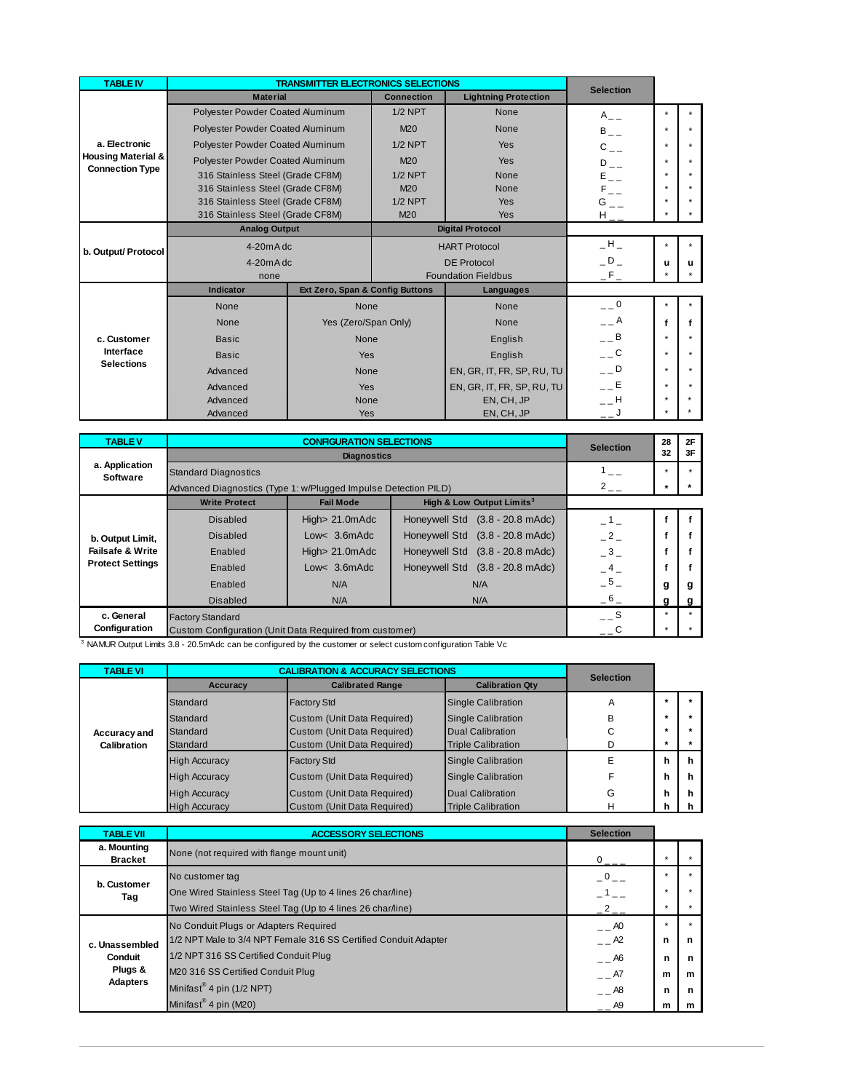| <b>TABLE IV</b>                                         |                                  |                                 | <b>TRANSMITTER ELECTRONICS SELECTIONS</b> |                             |                           |         |         |
|---------------------------------------------------------|----------------------------------|---------------------------------|-------------------------------------------|-----------------------------|---------------------------|---------|---------|
|                                                         | <b>Material</b>                  |                                 | <b>Connection</b>                         | <b>Lightning Protection</b> | <b>Selection</b>          |         |         |
|                                                         | Polyester Powder Coated Aluminum |                                 | $1/2$ NPT                                 | None                        | $A_{-}$                   | ٠       | $\star$ |
|                                                         | Polyester Powder Coated Aluminum |                                 | M20                                       | None                        | $B_{--}$                  | ٠       | $\star$ |
| a. Electronic                                           | Polyester Powder Coated Aluminum |                                 | $1/2$ NPT                                 | Yes                         | $C_{--}$                  | $\star$ | $\star$ |
| <b>Housing Material &amp;</b><br><b>Connection Type</b> | Polyester Powder Coated Aluminum |                                 | M20                                       | <b>Yes</b>                  | $D_{--}$                  | $\star$ | $\star$ |
|                                                         | 316 Stainless Steel (Grade CF8M) |                                 | $1/2$ NPT                                 | None                        | $\mathsf{E}_{\perp\perp}$ | $\star$ | ٠       |
|                                                         | 316 Stainless Steel (Grade CF8M) |                                 | M20                                       | None                        | $\mathsf{F}_{--}$         | $\star$ | $\star$ |
|                                                         | 316 Stainless Steel (Grade CF8M) |                                 | $1/2$ NPT                                 | <b>Yes</b>                  | $G_{--}$                  | $\star$ | ٠       |
|                                                         | 316 Stainless Steel (Grade CF8M) |                                 | M <sub>20</sub>                           | <b>Yes</b>                  | ${\rm H}_{\rm max}$       | $\star$ | $\star$ |
|                                                         | <b>Analog Output</b>             |                                 |                                           | <b>Digital Protocol</b>     |                           |         |         |
| b. Output/ Protocol                                     |                                  | $4-20mAdc$                      |                                           | <b>HART Protocol</b>        |                           | $\star$ | $\star$ |
|                                                         |                                  | $4-20mAdc$                      |                                           | <b>DE Protocol</b>          |                           | u       | u       |
|                                                         | none                             |                                 |                                           | <b>Foundation Fieldbus</b>  | $-F_{-}$                  | $\star$ | $\star$ |
|                                                         | <b>Indicator</b>                 | Ext Zero, Span & Config Buttons |                                           | Languages                   |                           |         |         |
|                                                         | None                             | None                            |                                           | None                        | $=$ $=$ $\frac{0}{1}$     | $\star$ | $\star$ |
|                                                         | None                             | Yes (Zero/Span Only)            |                                           | None                        | $- - A$                   | f       | f       |
| c. Customer                                             | <b>Basic</b>                     | None                            |                                           | English                     | $  B$                     | $\star$ |         |
| Interface                                               | <b>Basic</b>                     | Yes                             |                                           | English                     | $\_$ $\_$ $\mathbf{C}$    | $\star$ | ٠       |
| <b>Selections</b>                                       | Advanced                         | None                            |                                           | EN, GR, IT, FR, SP, RU, TU  | $  D$                     | $\star$ | $\star$ |
|                                                         | Advanced                         | Yes                             |                                           | EN, GR, IT, FR, SP, RU, TU  | $  E$                     | $\star$ |         |
|                                                         | Advanced                         | None                            |                                           | EN, CH, JP                  | <b>H</b>                  | $\star$ |         |
|                                                         | Advanced                         | Yes                             |                                           | EN, CH, JP                  | $-1$                      | $\star$ |         |

| <b>TABLE V</b>              |                                                                 | <b>CONFIGURATION SELECTIONS</b> |                                       |                  |         | 2F |
|-----------------------------|-----------------------------------------------------------------|---------------------------------|---------------------------------------|------------------|---------|----|
|                             |                                                                 | <b>Diagnostics</b>              |                                       | <b>Selection</b> | 32      | 3F |
| a. Application<br>Software  | $\equiv$                                                        | ٠                               |                                       |                  |         |    |
|                             | Advanced Diagnostics (Type 1: w/Plugged Impulse Detection PILD) |                                 |                                       | $2$ – –          | $\star$ |    |
|                             | <b>Write Protect</b>                                            | <b>Fail Mode</b>                | High & Low Output Limits <sup>3</sup> |                  |         |    |
|                             | Disabled                                                        | High> 21.0mAdc                  | Honeywell Std (3.8 - 20.8 mAdc)       | $\overline{1}$   |         |    |
| b. Output Limit,            | <b>Disabled</b>                                                 | Low< $3.6m$ Adc                 | Honeywell Std (3.8 - 20.8 mAdc)       | $-2$             |         |    |
| <b>Failsafe &amp; Write</b> | Enabled                                                         | High> 21.0mAdc                  | Honeywell Std (3.8 - 20.8 mAdc)       | $-3-$            |         |    |
| <b>Protect Settings</b>     | Enabled                                                         | Low< $3.6m$ Adc                 | Honeywell Std (3.8 - 20.8 mAdc)       | $-4-$            |         |    |
|                             | Enabled                                                         | N/A                             | N/A                                   | $-5-$            | g       | g  |
|                             | <b>Disabled</b>                                                 | N/A                             | N/A                                   | $-6-$            | a       |    |
| c. General                  | <b>Factory Standard</b>                                         |                                 |                                       | <b>S</b>         | ٠       |    |
| Configuration               | Custom Configuration (Unit Data Required from customer)         |                                 |                                       |                  | $\star$ |    |

3 NAMUR Output Limits 3.8 - 20.5mAdc can be configured by the customer or select custom configuration Table Vc

| <b>TABLE VI</b> |                      | <b>CALIBRATION &amp; ACCURACY SELECTIONS</b> |                           | <b>Selection</b> |         |   |
|-----------------|----------------------|----------------------------------------------|---------------------------|------------------|---------|---|
|                 | Accuracy             | <b>Calibrated Range</b>                      | <b>Calibration Qtv</b>    |                  |         |   |
|                 | Standard             | <b>Factory Std</b>                           | <b>Single Calibration</b> | Α                |         |   |
|                 | Standard             | Custom (Unit Data Required)                  | Single Calibration        | B                |         |   |
| Accuracy and    | Standard             | Custom (Unit Data Required)                  | Dual Calibration          | С                | $\star$ |   |
| Calibration     | Standard             | Custom (Unit Data Required)                  | <b>Triple Calibration</b> |                  |         |   |
|                 | <b>High Accuracy</b> | <b>Factory Std</b>                           | <b>Single Calibration</b> | Е                | h       | h |
|                 | <b>High Accuracy</b> | Custom (Unit Data Required)                  | Single Calibration        |                  | h       | h |
|                 | <b>High Accuracy</b> | Custom (Unit Data Required)                  | Dual Calibration          | G                | h       | h |
|                 | <b>High Accuracy</b> | Custom (Unit Data Required)                  | <b>Triple Calibration</b> | н                | h       |   |

| <b>TABLE VII</b>              | <b>ACCESSORY SELECTIONS</b>                                                   | <b>Selection</b> |   |         |
|-------------------------------|-------------------------------------------------------------------------------|------------------|---|---------|
| a. Mounting<br><b>Bracket</b> | None (not required with flange mount unit)                                    | $0 \frac{1}{2}$  |   |         |
| b. Customer<br>Tag            | No customer tag<br>One Wired Stainless Steel Tag (Up to 4 lines 26 char/line) | $\overline{0}$   |   |         |
|                               | Two Wired Stainless Steel Tag (Up to 4 lines 26 char/line)                    | $-2$ $-$         | ٠ |         |
|                               | No Conduit Plugs or Adapters Required                                         | $ -$ AO          | ٠ | $\star$ |
| c. Unassembled                | 1/2 NPT Male to 3/4 NPT Female 316 SS Certified Conduit Adapter               | $ -$ A2          | n | n       |
| Conduit                       | 1/2 NPT 316 SS Certified Conduit Plug                                         | $ -$ A6          | n | n       |
| Plugs &                       | M20 316 SS Certified Conduit Plug                                             | $ -$ A7          | m | m       |
| <b>Adapters</b>               | Minifast <sup>®</sup> 4 pin (1/2 NPT)                                         | $ -$ A8          | n | n       |
|                               | Minifast <sup>®</sup> 4 pin (M20)                                             | $- -$ A9         | m | m       |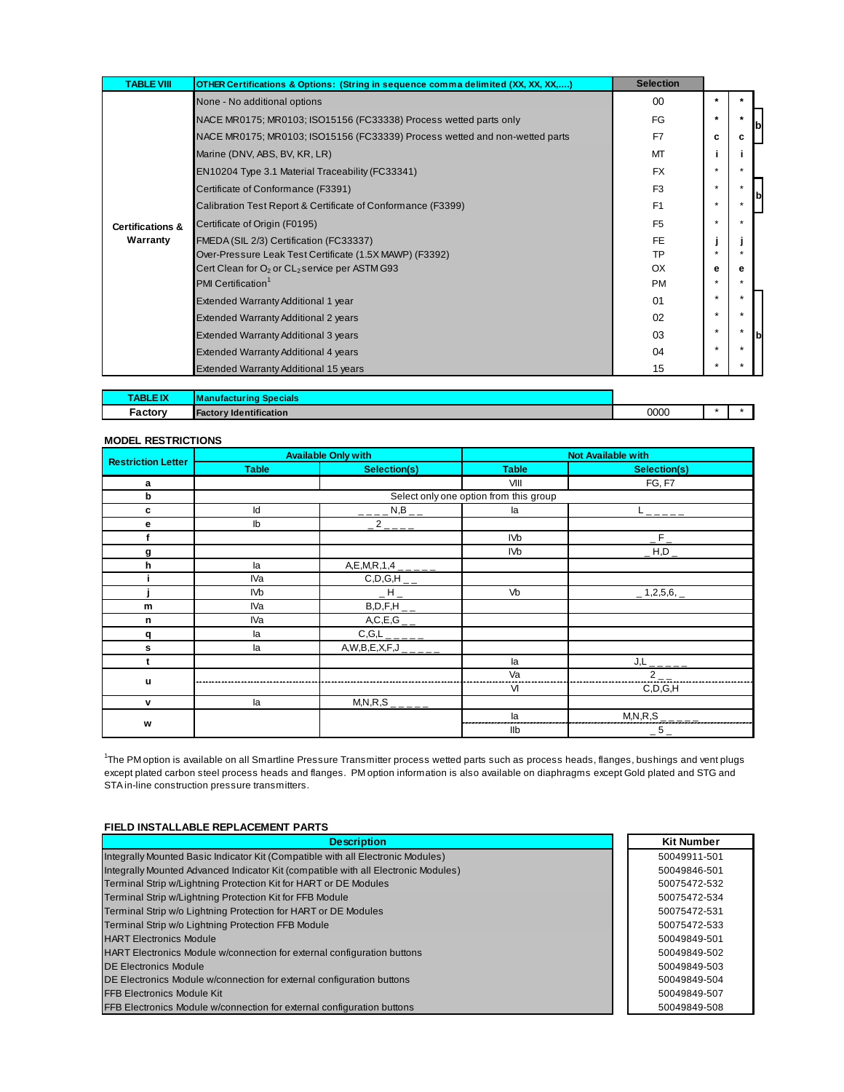| <b>TABLE VIII</b>                       | OTHER Certifications & Options: (String in sequence comma delimited (XX, XX, XX,)     | <b>Selection</b> |              |         |  |
|-----------------------------------------|---------------------------------------------------------------------------------------|------------------|--------------|---------|--|
| <b>Certifications &amp;</b><br>Warranty | None - No additional options                                                          | 00               | $\star$      |         |  |
|                                         | NACE MR0175; MR0103; ISO15156 (FC33338) Process wetted parts only                     | FG               | $\ast$       |         |  |
|                                         | NACE MR0175; MR0103; ISO15156 (FC33339) Process wetted and non-wetted parts           | F7               | c            | c       |  |
|                                         | Marine (DNV, ABS, BV, KR, LR)                                                         | MT               |              |         |  |
|                                         | EN10204 Type 3.1 Material Traceability (FC33341)                                      | <b>FX</b>        | $\star$      | $\star$ |  |
|                                         | Certificate of Conformance (F3391)                                                    | F <sub>3</sub>   | $\star$      |         |  |
|                                         | Calibration Test Report & Certificate of Conformance (F3399)                          | F <sub>1</sub>   | $\star$      |         |  |
|                                         | Certificate of Origin (F0195)                                                         | F <sub>5</sub>   | $\star$      |         |  |
|                                         | FMEDA (SIL 2/3) Certification (FC33337)                                               | <b>FE</b>        |              |         |  |
|                                         | Over-Pressure Leak Test Certificate (1.5X MAWP) (F3392)                               | TP               |              |         |  |
|                                         | Cert Clean for $O_2$ or $CL_2$ service per ASTM G93<br>PMI Certification <sup>1</sup> | OX<br><b>PM</b>  | е<br>$\star$ | е       |  |
|                                         | Extended Warranty Additional 1 year                                                   | 01               | $\star$      |         |  |
|                                         | <b>Extended Warranty Additional 2 years</b>                                           | 02               | $\ast$       | $\star$ |  |
|                                         | <b>Extended Warranty Additional 3 years</b>                                           | 03               | $\star$      |         |  |
|                                         | Extended Warranty Additional 4 years                                                  | 04               | $\ast$       |         |  |
|                                         | Extended Warranty Additional 15 years                                                 | 15               | $\star$      |         |  |

| <b>TABLE IX</b><br><b>TEIA</b> | <b>Specials</b><br><u>I Manufactu</u><br>mo |      |  |
|--------------------------------|---------------------------------------------|------|--|
| ∙actory                        | $-$<br><b>Facto</b><br>→ntification<br>lde  | 0000 |  |

#### **MODEL RESTRICTIONS**

| <b>Restriction Letter</b> | <b>Available Only with</b> |                                                 | <b>Not Available with</b>              |               |  |
|---------------------------|----------------------------|-------------------------------------------------|----------------------------------------|---------------|--|
|                           | <b>Table</b>               | Selection(s)                                    | <b>Table</b>                           | Selection(s)  |  |
| a                         |                            |                                                 | VIII                                   | <b>FG, F7</b> |  |
| b                         |                            |                                                 | Select only one option from this group |               |  |
| c                         | Id                         | $N,B$ <sub>--</sub>                             | la                                     |               |  |
| е                         | Ib                         | $\overline{-2}$ $\overline{-2}$ $\overline{-2}$ |                                        |               |  |
|                           |                            |                                                 | <b>IVb</b>                             | $\mathsf{F}$  |  |
| g                         |                            |                                                 | IV <sub>b</sub>                        | $\_$ H,D $\_$ |  |
| h                         | la                         | $A, E, M, R, 1, 4$ <sub>_____</sub>             |                                        |               |  |
|                           | IVa                        | $C, D, G, H$ <sub>__</sub>                      |                                        |               |  |
|                           | <b>IVb</b>                 | $\_$ H $\_$                                     | Vb                                     | $-1,2,5,6,$   |  |
| m                         | IVa                        | $B, D, F, H$ <sub>__</sub>                      |                                        |               |  |
| n                         | IVa                        | $\frac{A,C,E,G_{--}}{C,G,L_{-----}}$            |                                        |               |  |
| q                         | la                         |                                                 |                                        |               |  |
| s                         | la                         | $\overline{A,W,B,E,X,F,J}$ <sub>____</sub>      |                                        |               |  |
|                           |                            |                                                 | la                                     | $J,L$         |  |
| u                         |                            |                                                 | Va                                     | $2_{-}$       |  |
|                           |                            |                                                 | VI                                     | C,D,G,H       |  |
| v                         | la                         | $\overline{M,N,R}$ , S <sub>_____</sub>         |                                        |               |  |
|                           |                            |                                                 | la                                     | M, N, R, S    |  |
| W                         |                            |                                                 | Ilb                                    | $-5-$         |  |

1 The PM option is available on all Smartline Pressure Transmitter process wetted parts such as process heads, flanges, bushings and vent plugs except plated carbon steel process heads and flanges. PM option information is also available on diaphragms except Gold plated and STG and STA in-line construction pressure transmitters.

#### **FIELD INSTALLABLE REPLACEMENT PARTS**

| <b>Description</b>                                                                 | <b>Kit Number</b> |
|------------------------------------------------------------------------------------|-------------------|
| Integrally Mounted Basic Indicator Kit (Compatible with all Electronic Modules)    | 50049911-501      |
| Integrally Mounted Advanced Indicator Kit (compatible with all Electronic Modules) | 50049846-501      |
| Terminal Strip w/Lightning Protection Kit for HART or DE Modules                   | 50075472-532      |
| Terminal Strip w/Lightning Protection Kit for FFB Module                           | 50075472-534      |
| Terminal Strip w/o Lightning Protection for HART or DE Modules                     | 50075472-531      |
| Terminal Strip w/o Lightning Protection FFB Module                                 | 50075472-533      |
| <b>HART Electronics Module</b>                                                     | 50049849-501      |
| <b>HART Electronics Module w/connection for external configuration buttons</b>     | 50049849-502      |
| <b>DE Electronics Module</b>                                                       | 50049849-503      |
| DE Electronics Module w/connection for external configuration buttons              | 50049849-504      |
| <b>FFB Electronics Module Kit</b>                                                  | 50049849-507      |
| FFB Electronics Module w/connection for external configuration buttons             | 50049849-508      |
|                                                                                    |                   |